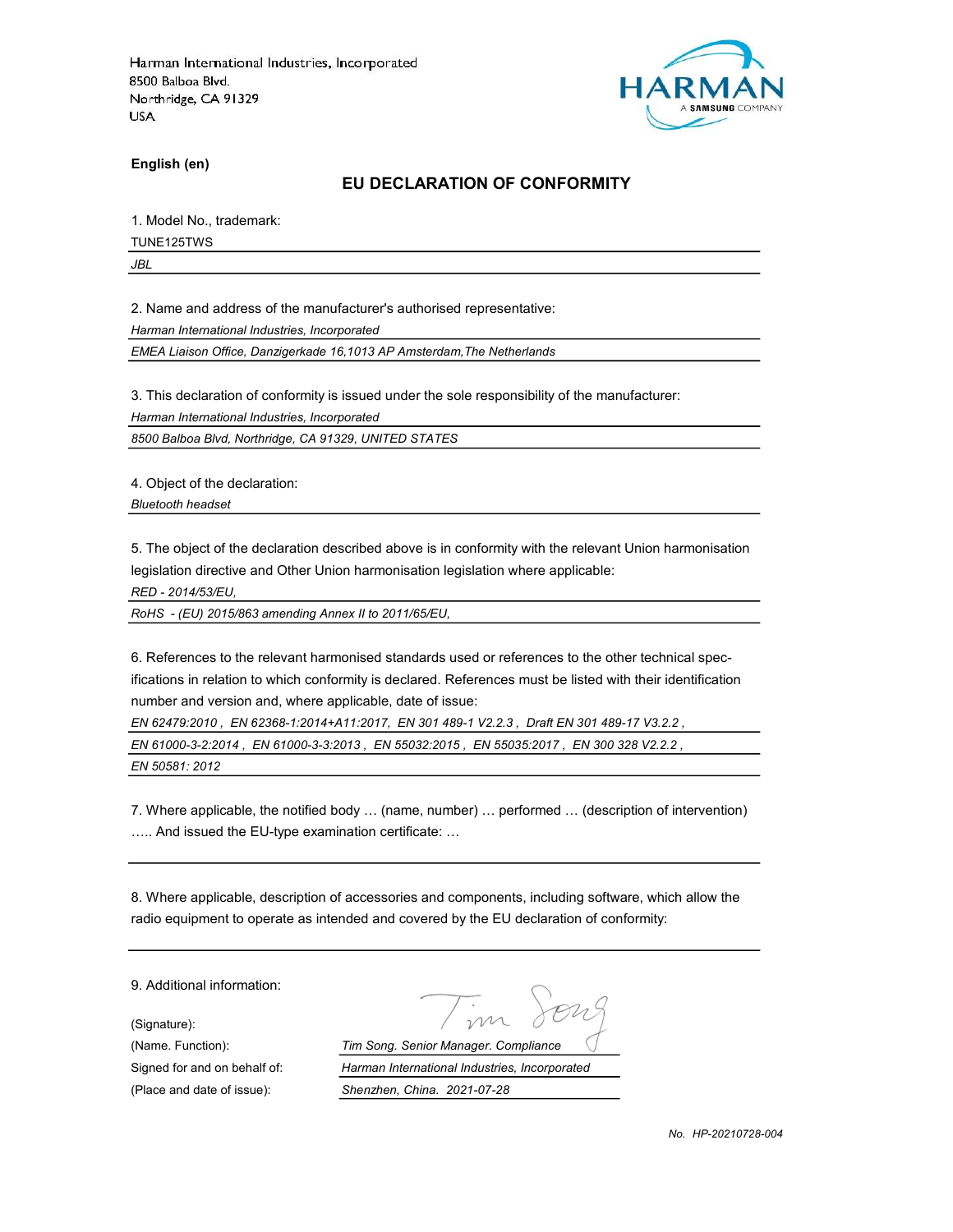

English (en)

#### EU DECLARATION OF CONFORMITY

1. Model No., trademark:

TUNE125TWS

JBL

2. Name and address of the manufacturer's authorised representative:

Harman International Industries, Incorporated

EMEA Liaison Office, Danzigerkade 16,1013 AP Amsterdam,The Netherlands

3. This declaration of conformity is issued under the sole responsibility of the manufacturer:

Harman International Industries, Incorporated

8500 Balboa Blvd, Northridge, CA 91329, UNITED STATES

4. Object of the declaration:

Bluetooth headset

5. The object of the declaration described above is in conformity with the relevant Union harmonisation legislation directive and Other Union harmonisation legislation where applicable:

RED - 2014/53/EU,

RoHS - (EU) 2015/863 amending Annex II to 2011/65/EU,

6. References to the relevant harmonised standards used or references to the other technical specifications in relation to which conformity is declared. References must be listed with their identification number and version and, where applicable, date of issue:

EN 62479:2010 , EN 62368-1:2014+A11:2017, EN 301 489-1 V2.2.3 , Draft EN 301 489-17 V3.2.2 , EN 61000-3-2:2014 , EN 61000-3-3:2013 , EN 55032:2015 , EN 55035:2017 , EN 300 328 V2.2.2 , EN 50581: 2012

7. Where applicable, the notified body … (name, number) … performed … (description of intervention) ….. And issued the EU-type examination certificate: …

8. Where applicable, description of accessories and components, including software, which allow the radio equipment to operate as intended and covered by the EU declaration of conformity:

9. Additional information:

(Signature):

(Name. Function): Tim Song. Senior Manager. Compliance Signed for and on behalf of: Harman International Industries, Incorporated (Place and date of issue): Shenzhen, China. 2021-07-28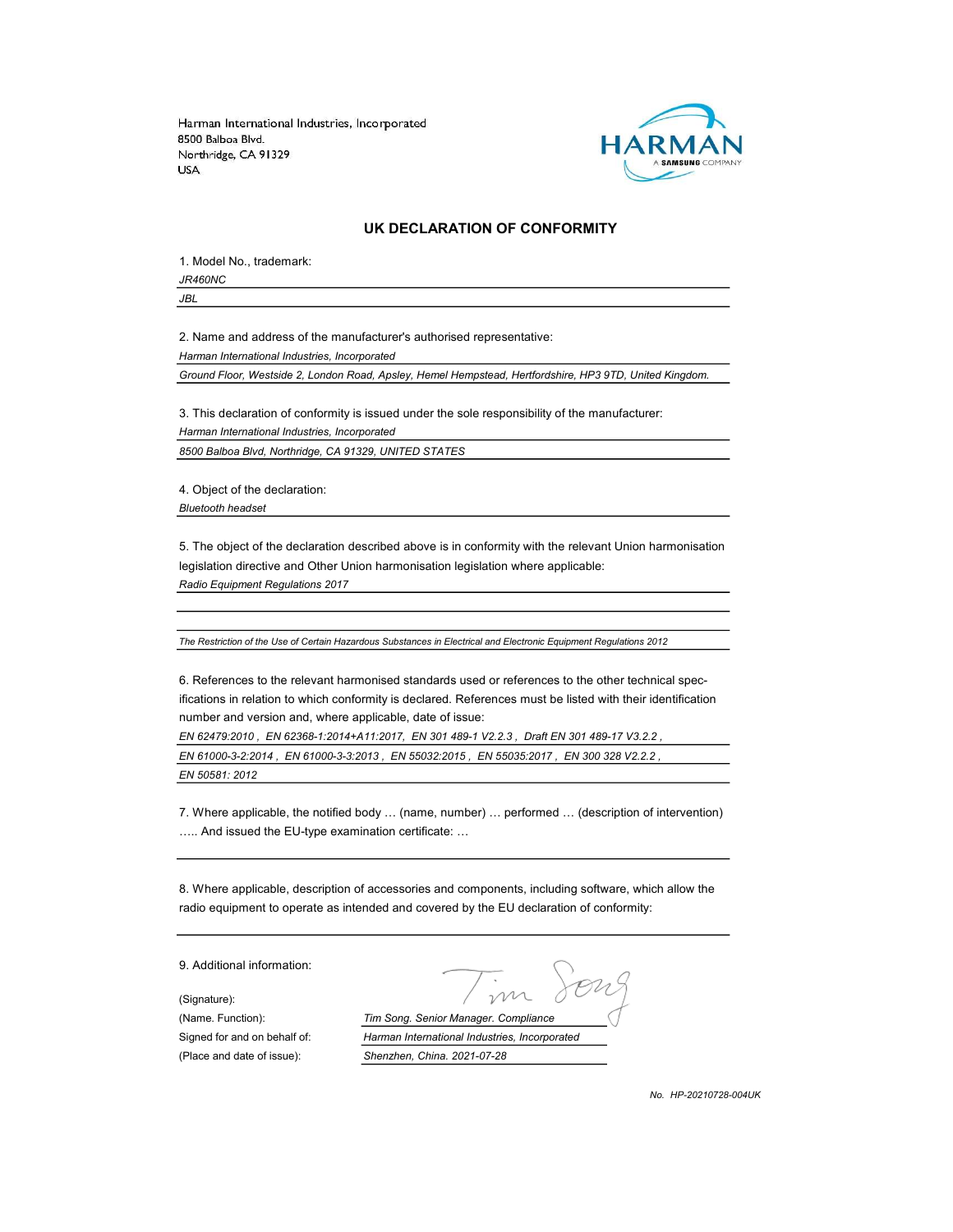

#### UK DECLARATION OF CONFORMITY

1. Model No., trademark: JR460NC

JBL

2. Name and address of the manufacturer's authorised representative: Harman International Industries, Incorporated

Ground Floor, Westside 2, London Road, Apsley, Hemel Hempstead, Hertfordshire, HP3 9TD, United Kingdom.

3. This declaration of conformity is issued under the sole responsibility of the manufacturer:

Harman International Industries, Incorporated

8500 Balboa Blvd, Northridge, CA 91329, UNITED STATES

4. Object of the declaration: Bluetooth headset

5. The object of the declaration described above is in conformity with the relevant Union harmonisation legislation directive and Other Union harmonisation legislation where applicable: Radio Equipment Regulations 2017

The Restriction of the Use of Certain Hazardous Substances in Electrical and Electronic Equipment Regulations 2012

6. References to the relevant harmonised standards used or references to the other technical specifications in relation to which conformity is declared. References must be listed with their identification number and version and, where applicable, date of issue:

EN 62479:2010 , EN 62368-1:2014+A11:2017, EN 301 489-1 V2.2.3 , Draft EN 301 489-17 V3.2.2 ,

EN 61000-3-2:2014 , EN 61000-3-3:2013 , EN 55032:2015 , EN 55035:2017 , EN 300 328 V2.2.2 ,

EN 50581: 2012

7. Where applicable, the notified body … (name, number) … performed … (description of intervention) ….. And issued the EU-type examination certificate: …

8. Where applicable, description of accessories and components, including software, which allow the radio equipment to operate as intended and covered by the EU declaration of conformity:

9. Additional information: (Signature): (Name. Function): Tim Song. Senior Manager. Compliance Signed for and on behalf of: Harman International Industries, Incorporated (Place and date of issue): Shenzhen, China. 2021-07-28

No. HP-20210728-004UK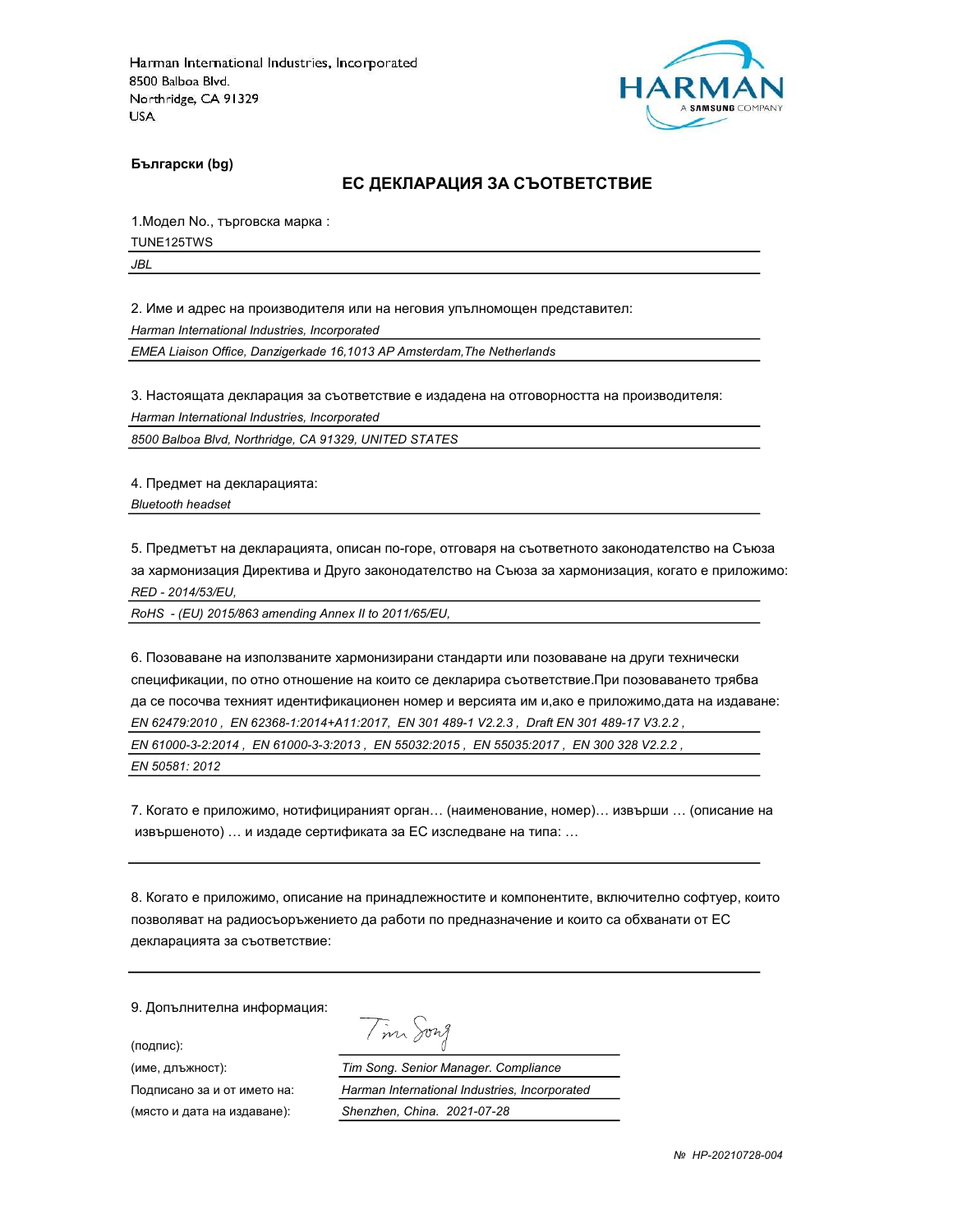

Български (bg)

#### ЕС ДЕКЛАРАЦИЯ ЗА СЪОТВЕТСТВИЕ

1.Модел No., търговска марка :

TUNE125TWS

JBL

2. Име и адрес на производителя или на неговия упълномощен представител:

Harman International Industries, Incorporated

EMEA Liaison Office, Danzigerkade 16,1013 AP Amsterdam,The Netherlands

3. Настоящата декларация за съответствие е издадена на отговорността на производителя:

Harman International Industries, Incorporated

8500 Balboa Blvd, Northridge, CA 91329, UNITED STATES

4. Предмет на декларацията:

Bluetooth headset

5. Предметът на декларацията, описан по-горе, отговаря на съответното законодателство на Съюза за хармонизация Директива и Друго законодателство на Съюза за хармонизация, когато е приложимо: RED - 2014/53/EU,

RoHS - (EU) 2015/863 amending Annex II to 2011/65/EU,

6. Позоваване на използваните хармонизирани стандарти или позоваване на други технически спецификации, по отно отношение на които се декларира съответствие.При позоваването трябва да се посочва техният идентификационен номер и версията им и,ако е приложимо,дата на издаване: EN 62479:2010 , EN 62368-1:2014+A11:2017, EN 301 489-1 V2.2.3 , Draft EN 301 489-17 V3.2.2 , EN 61000-3-2:2014 , EN 61000-3-3:2013 , EN 55032:2015 , EN 55035:2017 , EN 300 328 V2.2.2 , EN 50581: 2012

7. Когато е приложимо, нотифицираният орган… (наименование, номер)… извърши … (описание на извършеното) … и издаде сертификата за ЕС изследване на типа: …

8. Когато е приложимо, описание на принадлежностите и компонентите, включително софтуер, които позволяват на радиосъоръжението да работи по предназначение и които са обхванати от ЕС декларацията за съответствие:

Tim Song

9. Допълнителна информация:

(подпис):

(име, длъжност): Tim Song. Senior Manager. Compliance Подписано за и от името на: Harman International Industries, Incorporated (място и дата на издаване): Shenzhen, China. 2021-07-28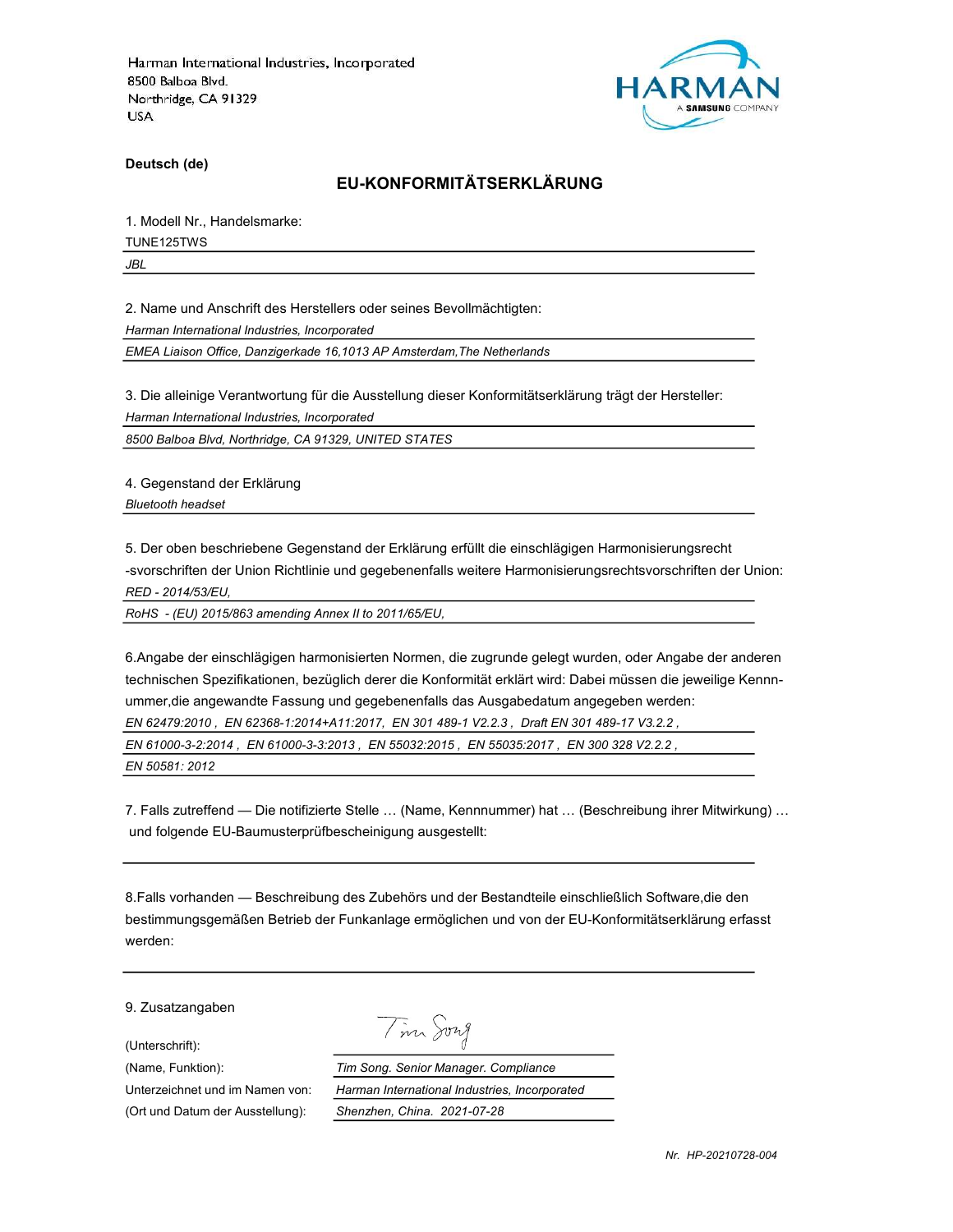

Deutsch (de)

# EU-KONFORMITÄTSERKLÄRUNG

1. Modell Nr., Handelsmarke:

TUNE125TWS

JBL

2. Name und Anschrift des Herstellers oder seines Bevollmächtigten:

Harman International Industries, Incorporated

EMEA Liaison Office, Danzigerkade 16,1013 AP Amsterdam,The Netherlands

3. Die alleinige Verantwortung für die Ausstellung dieser Konformitätserklärung trägt der Hersteller:

Harman International Industries, Incorporated

8500 Balboa Blvd, Northridge, CA 91329, UNITED STATES

4. Gegenstand der Erklärung Bluetooth headset

5. Der oben beschriebene Gegenstand der Erklärung erfüllt die einschlägigen Harmonisierungsrecht -svorschriften der Union Richtlinie und gegebenenfalls weitere Harmonisierungsrechtsvorschriften der Union: RED - 2014/53/EU,

RoHS - (EU) 2015/863 amending Annex II to 2011/65/EU,

6.Angabe der einschlägigen harmonisierten Normen, die zugrunde gelegt wurden, oder Angabe der anderen technischen Spezifikationen, bezüglich derer die Konformität erklärt wird: Dabei müssen die jeweilige Kennnummer,die angewandte Fassung und gegebenenfalls das Ausgabedatum angegeben werden:

EN 62479:2010 , EN 62368-1:2014+A11:2017, EN 301 489-1 V2.2.3 , Draft EN 301 489-17 V3.2.2 ,

EN 61000-3-2:2014 , EN 61000-3-3:2013 , EN 55032:2015 , EN 55035:2017 , EN 300 328 V2.2.2 ,

EN 50581: 2012

7. Falls zutreffend — Die notifizierte Stelle … (Name, Kennnummer) hat … (Beschreibung ihrer Mitwirkung) … und folgende EU-Baumusterprüfbescheinigung ausgestellt:

8.Falls vorhanden — Beschreibung des Zubehörs und der Bestandteile einschließlich Software,die den bestimmungsgemäßen Betrieb der Funkanlage ermöglichen und von der EU-Konformitätserklärung erfasst werden:

9. Zusatzangaben

(Unterschrift):

Tim Song

(Name, Funktion): Tim Song. Senior Manager. Compliance Unterzeichnet und im Namen von: Harman International Industries, Incorporated (Ort und Datum der Ausstellung): Shenzhen, China. 2021-07-28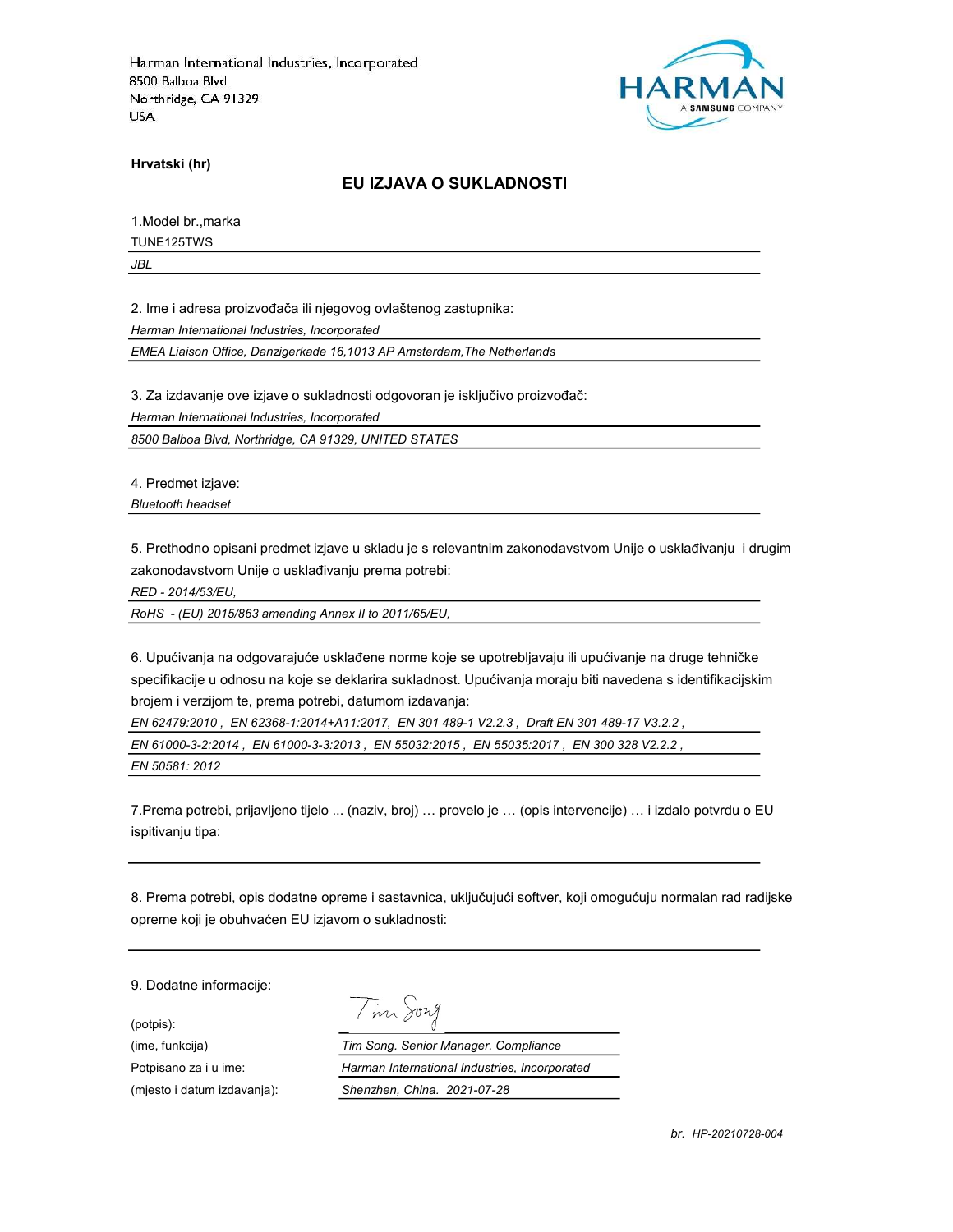

Hrvatski (hr)

#### EU IZJAVA O SUKLADNOSTI

1.Model br.,marka

TUNE125TWS

JBL

2. Ime i adresa proizvođača ili njegovog ovlaštenog zastupnika:

Harman International Industries, Incorporated

EMEA Liaison Office, Danzigerkade 16,1013 AP Amsterdam,The Netherlands

3. Za izdavanje ove izjave o sukladnosti odgovoran je isključivo proizvođač:

Harman International Industries, Incorporated

8500 Balboa Blvd, Northridge, CA 91329, UNITED STATES

4. Predmet izjave:

Bluetooth headset

5. Prethodno opisani predmet izjave u skladu je s relevantnim zakonodavstvom Unije o usklađivanju i drugim zakonodavstvom Unije o usklađivanju prema potrebi:

RED - 2014/53/EU,

RoHS - (EU) 2015/863 amending Annex II to 2011/65/EU,

6. Upućivanja na odgovarajuće usklađene norme koje se upotrebljavaju ili upućivanje na druge tehničke specifikacije u odnosu na koje se deklarira sukladnost. Upućivanja moraju biti navedena s identifikacijskim brojem i verzijom te, prema potrebi, datumom izdavanja:

EN 62479:2010 , EN 62368-1:2014+A11:2017, EN 301 489-1 V2.2.3 , Draft EN 301 489-17 V3.2.2 ,

EN 61000-3-2:2014 , EN 61000-3-3:2013 , EN 55032:2015 , EN 55035:2017 , EN 300 328 V2.2.2 ,

EN 50581: 2012

7.Prema potrebi, prijavljeno tijelo ... (naziv, broj) … provelo je … (opis intervencije) … i izdalo potvrdu o EU ispitivanju tipa:

8. Prema potrebi, opis dodatne opreme i sastavnica, uključujući softver, koji omogućuju normalan rad radijske opreme koji je obuhvaćen EU izjavom o sukladnosti:

9. Dodatne informacije:

(potpis):

Tim Song

(ime, funkcija) Tim Song. Senior Manager. Compliance Potpisano za i u ime: <br>
Harman International Industries, Incorporated (mjesto i datum izdavanja): Shenzhen, China. 2021-07-28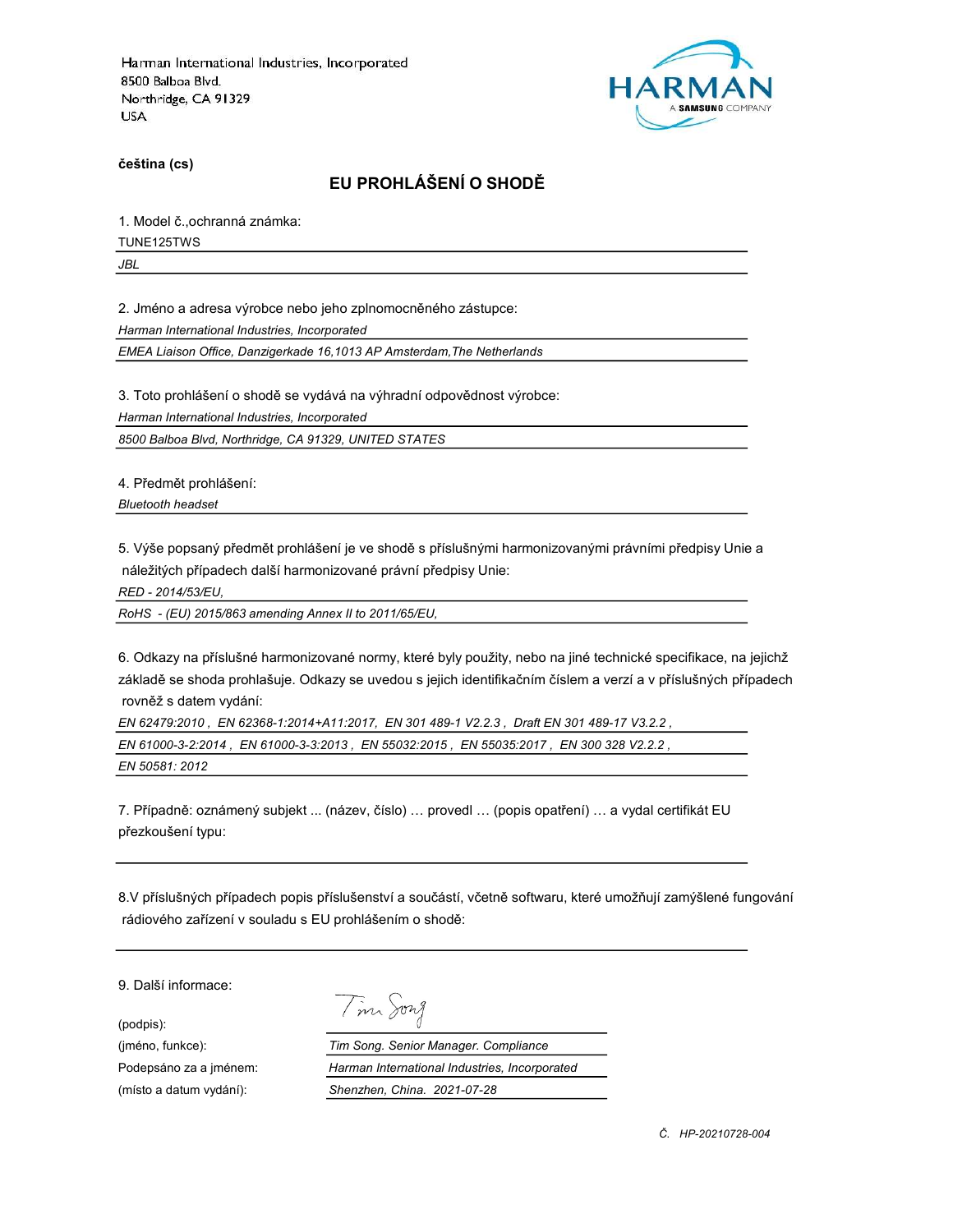

čeština (cs)

# EU PROHLÁŠENÍ O SHODĚ

1. Model č.,ochranná známka:

TUNE125TWS

JBL

2. Jméno a adresa výrobce nebo jeho zplnomocněného zástupce:

Harman International Industries, Incorporated

EMEA Liaison Office, Danzigerkade 16,1013 AP Amsterdam,The Netherlands

3. Toto prohlášení o shodě se vydává na výhradní odpovědnost výrobce:

Harman International Industries, Incorporated

8500 Balboa Blvd, Northridge, CA 91329, UNITED STATES

4. Předmět prohlášení:

Bluetooth headset

5. Výše popsaný předmět prohlášení je ve shodě s příslušnými harmonizovanými právními předpisy Unie a náležitých případech další harmonizované právní předpisy Unie:

RED - 2014/53/EU,

RoHS - (EU) 2015/863 amending Annex II to 2011/65/EU,

6. Odkazy na příslušné harmonizované normy, které byly použity, nebo na jiné technické specifikace, na jejichž základě se shoda prohlašuje. Odkazy se uvedou s jejich identifikačním číslem a verzí a v příslušných případech rovněž s datem vydání:

EN 62479:2010 , EN 62368-1:2014+A11:2017, EN 301 489-1 V2.2.3 , Draft EN 301 489-17 V3.2.2 , EN 61000-3-2:2014 , EN 61000-3-3:2013 , EN 55032:2015 , EN 55035:2017 , EN 300 328 V2.2.2 , EN 50581: 2012

7. Případně: oznámený subjekt ... (název, číslo) … provedl … (popis opatření) … a vydal certifikát EU přezkoušení typu:

8.V příslušných případech popis příslušenství a součástí, včetně softwaru, které umožňují zamýšlené fungování rádiového zařízení v souladu s EU prohlášením o shodě:

9. Další informace:

(podpis):

Tim Song

(jméno, funkce): Tim Song. Senior Manager. Compliance Podepsáno za a jménem: Harman International Industries, Incorporated (místo a datum vydání): Shenzhen, China. 2021-07-28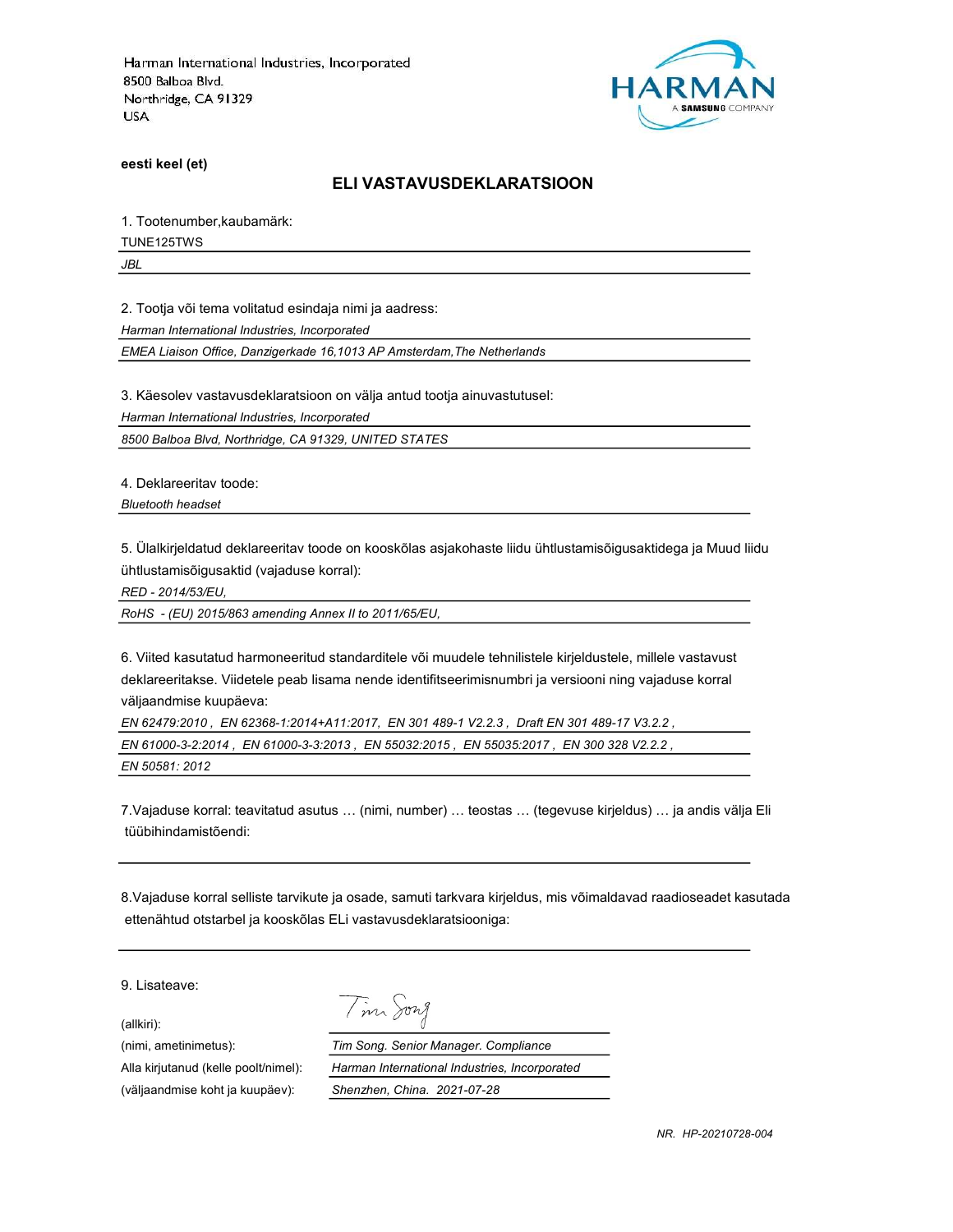

eesti keel (et)

#### ELI VASTAVUSDEKLARATSIOON

1. Tootenumber,kaubamärk:

TUNE125TWS

JBL

2. Tootja või tema volitatud esindaja nimi ja aadress:

Harman International Industries, Incorporated

EMEA Liaison Office, Danzigerkade 16,1013 AP Amsterdam,The Netherlands

3. Käesolev vastavusdeklaratsioon on välja antud tootja ainuvastutusel:

Harman International Industries, Incorporated

8500 Balboa Blvd, Northridge, CA 91329, UNITED STATES

4. Deklareeritav toode:

Bluetooth headset

5. Ülalkirjeldatud deklareeritav toode on kooskõlas asjakohaste liidu ühtlustamisõigusaktidega ja Muud liidu ühtlustamisõigusaktid (vajaduse korral):

RED - 2014/53/EU,

RoHS - (EU) 2015/863 amending Annex II to 2011/65/EU,

6. Viited kasutatud harmoneeritud standarditele või muudele tehnilistele kirjeldustele, millele vastavust deklareeritakse. Viidetele peab lisama nende identifitseerimisnumbri ja versiooni ning vajaduse korral väljaandmise kuupäeva:

EN 62479:2010 , EN 62368-1:2014+A11:2017, EN 301 489-1 V2.2.3 , Draft EN 301 489-17 V3.2.2 , EN 61000-3-2:2014 , EN 61000-3-3:2013 , EN 55032:2015 , EN 55035:2017 , EN 300 328 V2.2.2 , EN 50581: 2012

7.Vajaduse korral: teavitatud asutus … (nimi, number) … teostas … (tegevuse kirjeldus) … ja andis välja Eli tüübihindamistõendi:

8.Vajaduse korral selliste tarvikute ja osade, samuti tarkvara kirjeldus, mis võimaldavad raadioseadet kasutada ettenähtud otstarbel ja kooskõlas ELi vastavusdeklaratsiooniga:

9. Lisateave:

(allkiri):

Tim Song

(nimi, ametinimetus): Tim Song. Senior Manager. Compliance Alla kirjutanud (kelle poolt/nimel): Harman International Industries, Incorporated (väljaandmise koht ja kuupäev): Shenzhen, China. 2021-07-28

NR. HP-20210728-004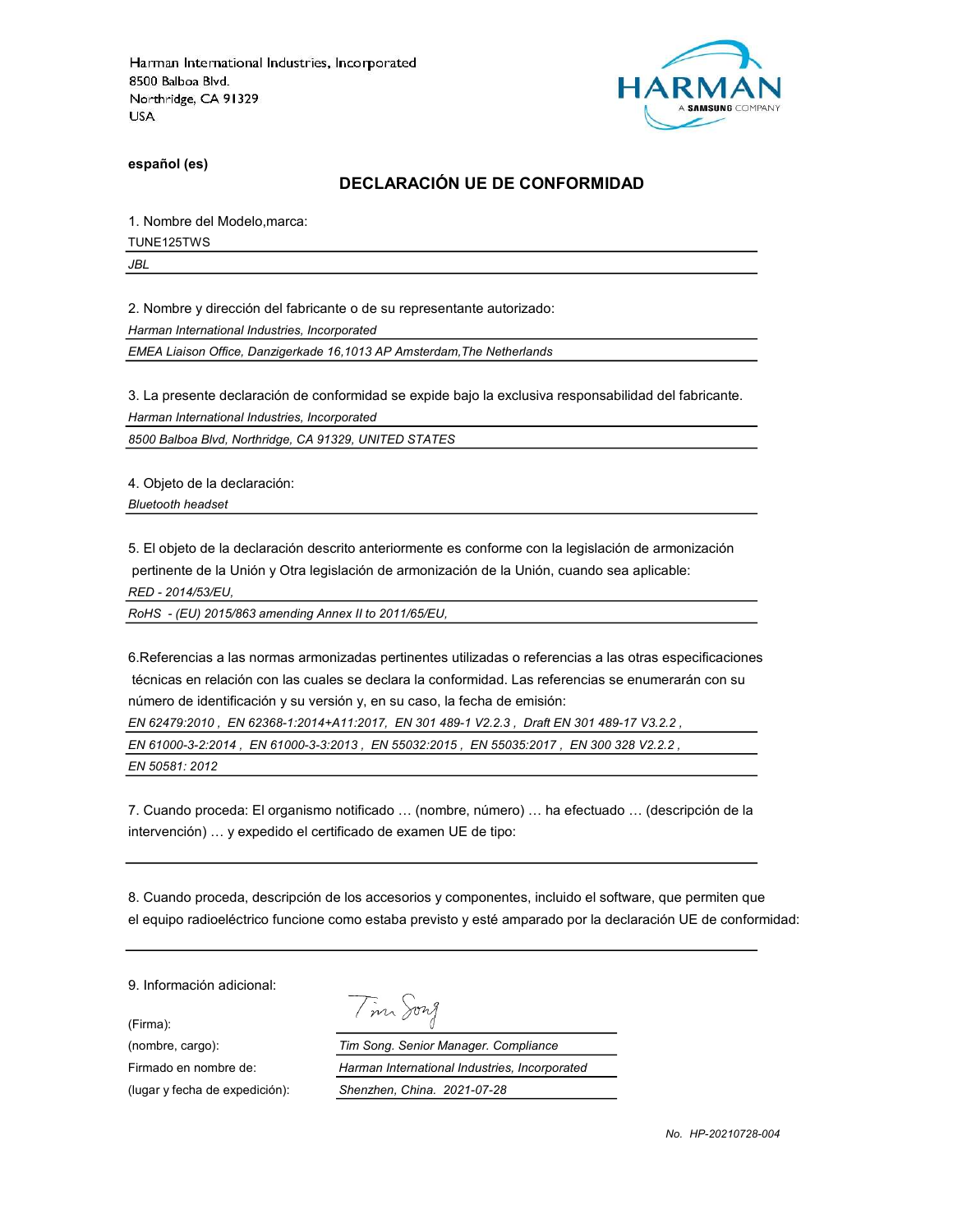

español (es)

# DECLARACIÓN UE DE CONFORMIDAD

1. Nombre del Modelo,marca:

TUNE125TWS

JBL

2. Nombre y dirección del fabricante o de su representante autorizado:

Harman International Industries, Incorporated

EMEA Liaison Office, Danzigerkade 16,1013 AP Amsterdam,The Netherlands

3. La presente declaración de conformidad se expide bajo la exclusiva responsabilidad del fabricante.

Harman International Industries, Incorporated

8500 Balboa Blvd, Northridge, CA 91329, UNITED STATES

4. Objeto de la declaración:

Bluetooth headset

5. El objeto de la declaración descrito anteriormente es conforme con la legislación de armonización pertinente de la Unión y Otra legislación de armonización de la Unión, cuando sea aplicable:

RED - 2014/53/EU,

RoHS - (EU) 2015/863 amending Annex II to 2011/65/EU,

6.Referencias a las normas armonizadas pertinentes utilizadas o referencias a las otras especificaciones técnicas en relación con las cuales se declara la conformidad. Las referencias se enumerarán con su número de identificación y su versión y, en su caso, la fecha de emisión:

EN 62479:2010 , EN 62368-1:2014+A11:2017, EN 301 489-1 V2.2.3 , Draft EN 301 489-17 V3.2.2 ,

EN 61000-3-2:2014 , EN 61000-3-3:2013 , EN 55032:2015 , EN 55035:2017 , EN 300 328 V2.2.2 ,

EN 50581: 2012

7. Cuando proceda: El organismo notificado … (nombre, número) … ha efectuado … (descripción de la intervención) … y expedido el certificado de examen UE de tipo:

8. Cuando proceda, descripción de los accesorios y componentes, incluido el software, que permiten que el equipo radioeléctrico funcione como estaba previsto y esté amparado por la declaración UE de conformidad:

9. Información adicional:

(Firma):

| 122 X |  |
|-------|--|
|-------|--|

(nombre, cargo): Tim Song. Senior Manager. Compliance Firmado en nombre de: Harman International Industries, Incorporated (lugar y fecha de expedición): Shenzhen, China. 2021-07-28

No. HP-20210728-004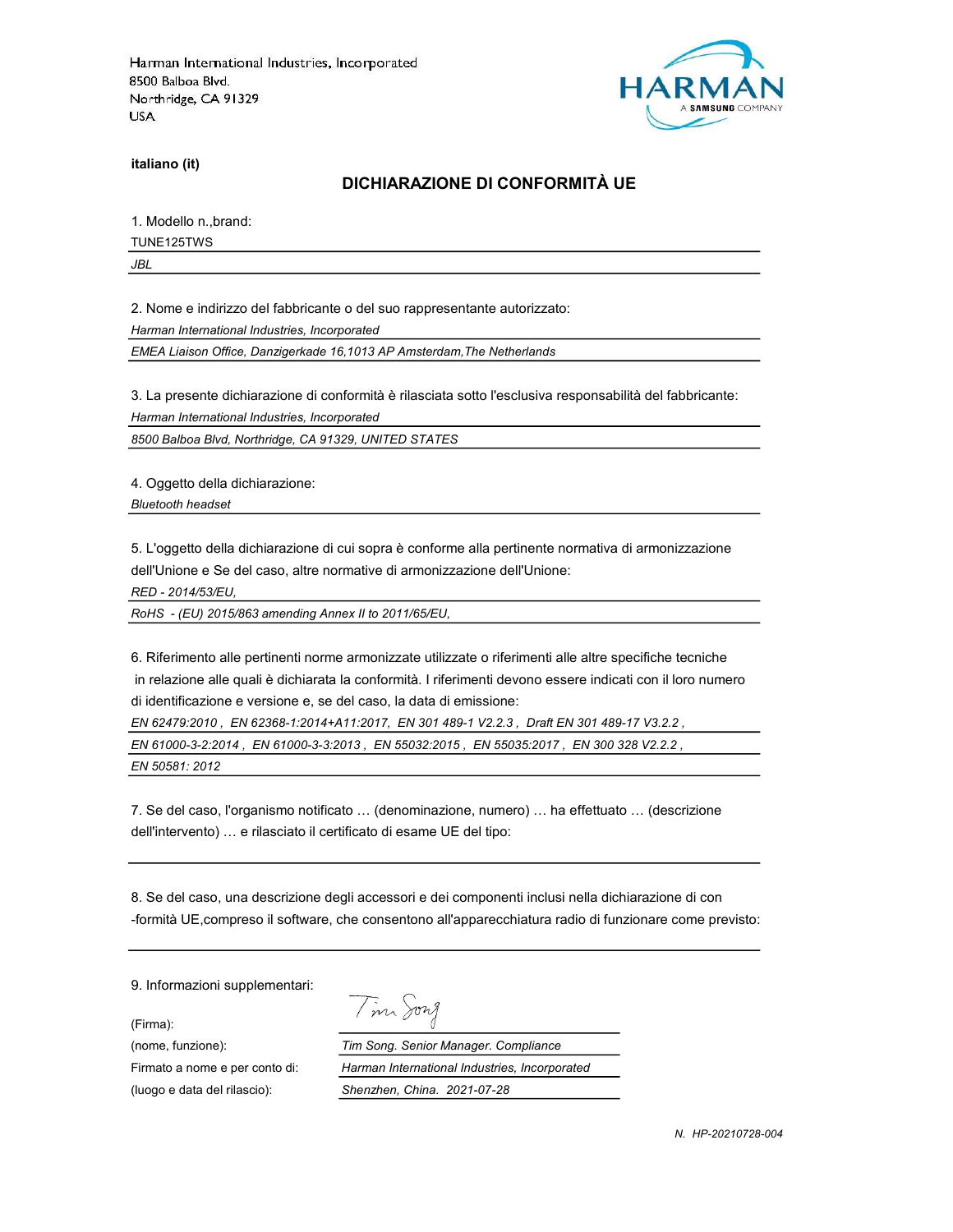

italiano (it)

# DICHIARAZIONE DI CONFORMITÀ UE

1. Modello n.,brand:

TUNE125TWS

JBL

2. Nome e indirizzo del fabbricante o del suo rappresentante autorizzato:

Harman International Industries, Incorporated

EMEA Liaison Office, Danzigerkade 16,1013 AP Amsterdam,The Netherlands

3. La presente dichiarazione di conformità è rilasciata sotto l'esclusiva responsabilità del fabbricante:

Harman International Industries, Incorporated

8500 Balboa Blvd, Northridge, CA 91329, UNITED STATES

4. Oggetto della dichiarazione:

Bluetooth headset

5. L'oggetto della dichiarazione di cui sopra è conforme alla pertinente normativa di armonizzazione dell'Unione e Se del caso, altre normative di armonizzazione dell'Unione:

RED - 2014/53/EU,

RoHS - (EU) 2015/863 amending Annex II to 2011/65/EU,

6. Riferimento alle pertinenti norme armonizzate utilizzate o riferimenti alle altre specifiche tecniche in relazione alle quali è dichiarata la conformità. I riferimenti devono essere indicati con il loro numero di identificazione e versione e, se del caso, la data di emissione:

EN 62479:2010 , EN 62368-1:2014+A11:2017, EN 301 489-1 V2.2.3 , Draft EN 301 489-17 V3.2.2 , EN 61000-3-2:2014 , EN 61000-3-3:2013 , EN 55032:2015 , EN 55035:2017 , EN 300 328 V2.2.2 , EN 50581: 2012

7. Se del caso, l'organismo notificato … (denominazione, numero) … ha effettuato … (descrizione dell'intervento) … e rilasciato il certificato di esame UE del tipo:

8. Se del caso, una descrizione degli accessori e dei componenti inclusi nella dichiarazione di con -formità UE,compreso il software, che consentono all'apparecchiatura radio di funzionare come previsto:

9. Informazioni supplementari:

(Firma):

Tim Song

(nome, funzione): Tim Song. Senior Manager. Compliance Firmato a nome e per conto di: Harman International Industries, Incorporated (luogo e data del rilascio): Shenzhen, China. 2021-07-28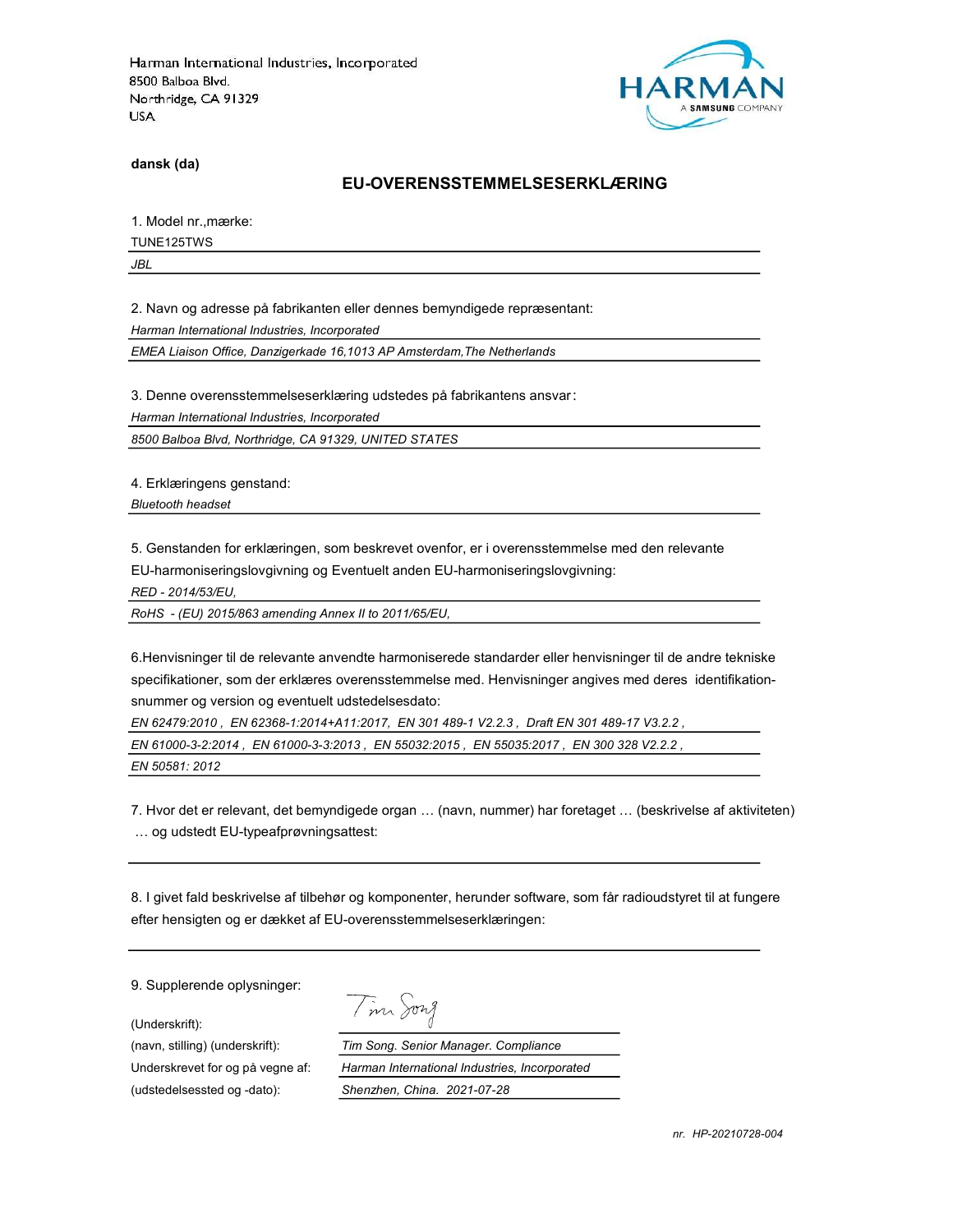

dansk (da)

#### EU-OVERENSSTEMMELSESERKLÆRING

1. Model nr.,mærke:

TUNE125TWS

JBL

2. Navn og adresse på fabrikanten eller dennes bemyndigede repræsentant:

Harman International Industries, Incorporated

EMEA Liaison Office, Danzigerkade 16,1013 AP Amsterdam,The Netherlands

3. Denne overensstemmelseserklæring udstedes på fabrikantens ansvar:

Harman International Industries, Incorporated

8500 Balboa Blvd, Northridge, CA 91329, UNITED STATES

4. Erklæringens genstand:

Bluetooth headset

5. Genstanden for erklæringen, som beskrevet ovenfor, er i overensstemmelse med den relevante

EU-harmoniseringslovgivning og Eventuelt anden EU-harmoniseringslovgivning:

RED - 2014/53/EU,

RoHS - (EU) 2015/863 amending Annex II to 2011/65/EU,

6.Henvisninger til de relevante anvendte harmoniserede standarder eller henvisninger til de andre tekniske specifikationer, som der erklæres overensstemmelse med. Henvisninger angives med deres identifikationsnummer og version og eventuelt udstedelsesdato:

EN 62479:2010 , EN 62368-1:2014+A11:2017, EN 301 489-1 V2.2.3 , Draft EN 301 489-17 V3.2.2 ,

EN 61000-3-2:2014 , EN 61000-3-3:2013 , EN 55032:2015 , EN 55035:2017 , EN 300 328 V2.2.2 ,

EN 50581: 2012

7. Hvor det er relevant, det bemyndigede organ … (navn, nummer) har foretaget … (beskrivelse af aktiviteten) … og udstedt EU-typeafprøvningsattest:

8. I givet fald beskrivelse af tilbehør og komponenter, herunder software, som får radioudstyret til at fungere efter hensigten og er dækket af EU-overensstemmelseserklæringen:

9. Supplerende oplysninger:

(Underskrift):

(udstedelsessted og -dato): Shenzhen, China. 2021-07-28

Tim Song

(navn, stilling) (underskrift): Tim Song. Senior Manager. Compliance Underskrevet for og på vegne af: Harman International Industries, Incorporated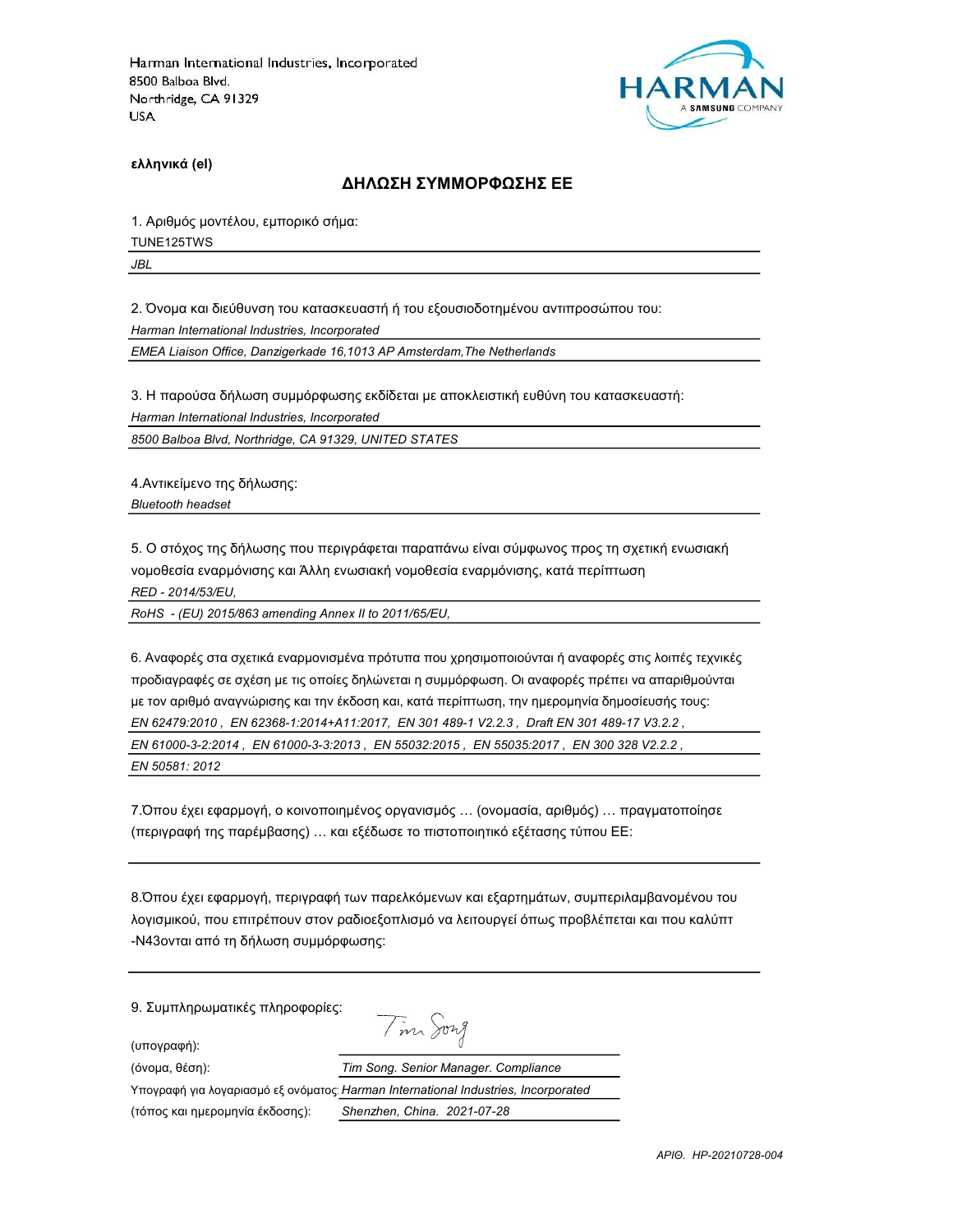

ελληνικά (el)

#### ΔΗΛΩΣΗ ΣΥΜΜΟΡΦΩΣΗΣ ΕΕ

1. Αριθμός μοντέλου, εμπορικό σήμα:

TUNE125TWS

JBL

2. Όνομα και διεύθυνση του κατασκευαστή ή του εξουσιοδοτημένου αντιπροσώπου του:

Harman International Industries, Incorporated

EMEA Liaison Office, Danzigerkade 16,1013 AP Amsterdam,The Netherlands

3. Η παρούσα δήλωση συμμόρφωσης εκδίδεται με αποκλειστική ευθύνη του κατασκευαστή:

Harman International Industries, Incorporated

8500 Balboa Blvd, Northridge, CA 91329, UNITED STATES

4.Αντικείμενο της δήλωσης: Bluetooth headset

5. Ο στόχος της δήλωσης που περιγράφεται παραπάνω είναι σύμφωνος προς τη σχετική ενωσιακή νομοθεσία εναρμόνισης και Άλλη ενωσιακή νομοθεσία εναρμόνισης, κατά περίπτωση RED - 2014/53/EU,

RoHS - (EU) 2015/863 amending Annex II to 2011/65/EU,

6. Αναφορές στα σχετικά εναρμονισμένα πρότυπα που χρησιμοποιούνται ή αναφορές στις λοιπές τεχνικές προδιαγραφές σε σχέση με τις οποίες δηλώνεται η συμμόρφωση. Οι αναφορές πρέπει να απαριθμούνται με τον αριθμό αναγνώρισης και την έκδοση και, κατά περίπτωση, την ημερομηνία δημοσίευσής τους: EN 62479:2010 , EN 62368-1:2014+A11:2017, EN 301 489-1 V2.2.3 , Draft EN 301 489-17 V3.2.2 , EN 61000-3-2:2014 , EN 61000-3-3:2013 , EN 55032:2015 , EN 55035:2017 , EN 300 328 V2.2.2 , EN 50581: 2012

7.Όπου έχει εφαρμογή, ο κοινοποιημένος οργανισμός … (ονομασία, αριθμός) … πραγματοποίησε (περιγραφή της παρέμβασης) … και εξέδωσε το πιστοποιητικό εξέτασης τύπου ΕΕ:

8.Όπου έχει εφαρμογή, περιγραφή των παρελκόμενων και εξαρτημάτων, συμπεριλαμβανομένου του λογισμικού, που επιτρέπουν στον ραδιοεξοπλισμό να λειτουργεί όπως προβλέπεται και που καλύπτ -N43ονται από τη δήλωση συμμόρφωσης:

9. Συμπληρωματικές πληροφορίες:

(υπογραφή):

Tim Song

| (όνομα, θέση):                  | Tim Song. Senior Manager. Compliance                                              |
|---------------------------------|-----------------------------------------------------------------------------------|
|                                 | Υπογραφή για λογαριασμό εξ ονόματος Harman International Industries, Incorporated |
| (τόπος και ημερομηνία έκδοσης): | Shenzhen, China. 2021-07-28                                                       |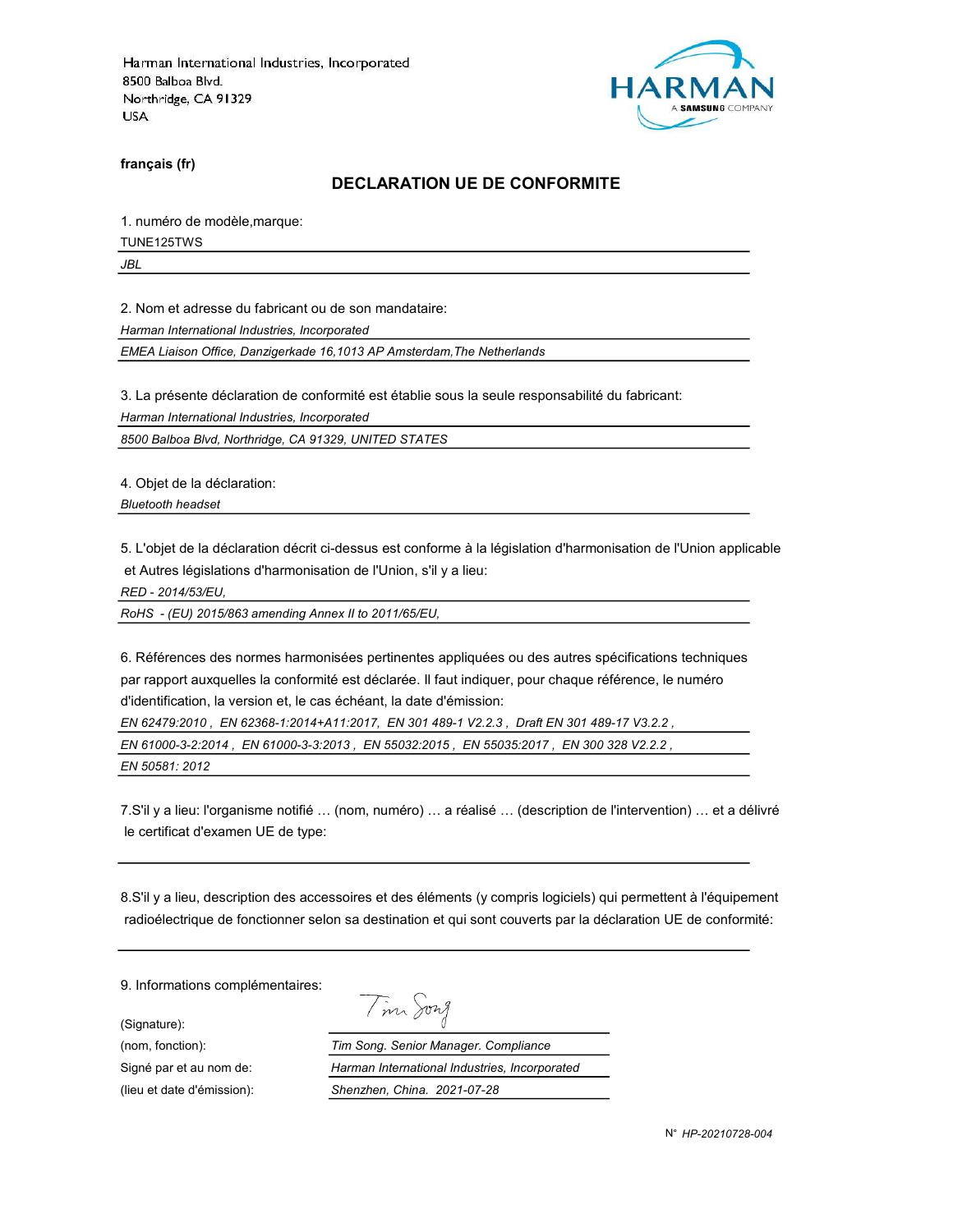

français (fr)

#### DECLARATION UE DE CONFORMITE

1. numéro de modèle,marque:

TUNE125TWS

JBL

2. Nom et adresse du fabricant ou de son mandataire:

Harman International Industries, Incorporated

EMEA Liaison Office, Danzigerkade 16,1013 AP Amsterdam,The Netherlands

3. La présente déclaration de conformité est établie sous la seule responsabilité du fabricant:

Harman International Industries, Incorporated

8500 Balboa Blvd, Northridge, CA 91329, UNITED STATES

4. Objet de la déclaration:

Bluetooth headset

5. L'objet de la déclaration décrit ci-dessus est conforme à la législation d'harmonisation de l'Union applicable et Autres législations d'harmonisation de l'Union, s'il y a lieu:

RED - 2014/53/EU,

RoHS - (EU) 2015/863 amending Annex II to 2011/65/EU,

6. Références des normes harmonisées pertinentes appliquées ou des autres spécifications techniques par rapport auxquelles la conformité est déclarée. Il faut indiquer, pour chaque référence, le numéro d'identification, la version et, le cas échéant, la date d'émission:

EN 62479:2010 , EN 62368-1:2014+A11:2017, EN 301 489-1 V2.2.3 , Draft EN 301 489-17 V3.2.2 ,

EN 61000-3-2:2014 , EN 61000-3-3:2013 , EN 55032:2015 , EN 55035:2017 , EN 300 328 V2.2.2 ,

Tim Song

EN 50581: 2012

7.S'il y a lieu: l'organisme notifié … (nom, numéro) … a réalisé … (description de l'intervention) … et a délivré le certificat d'examen UE de type:

8.S'il y a lieu, description des accessoires et des éléments (y compris logiciels) qui permettent à l'équipement radioélectrique de fonctionner selon sa destination et qui sont couverts par la déclaration UE de conformité:

9. Informations complémentaires:

(Signature):

(nom, fonction): Tim Song. Senior Manager. Compliance Signé par et au nom de: Harman International Industries, Incorporated (lieu et date d'émission): Shenzhen, China. 2021-07-28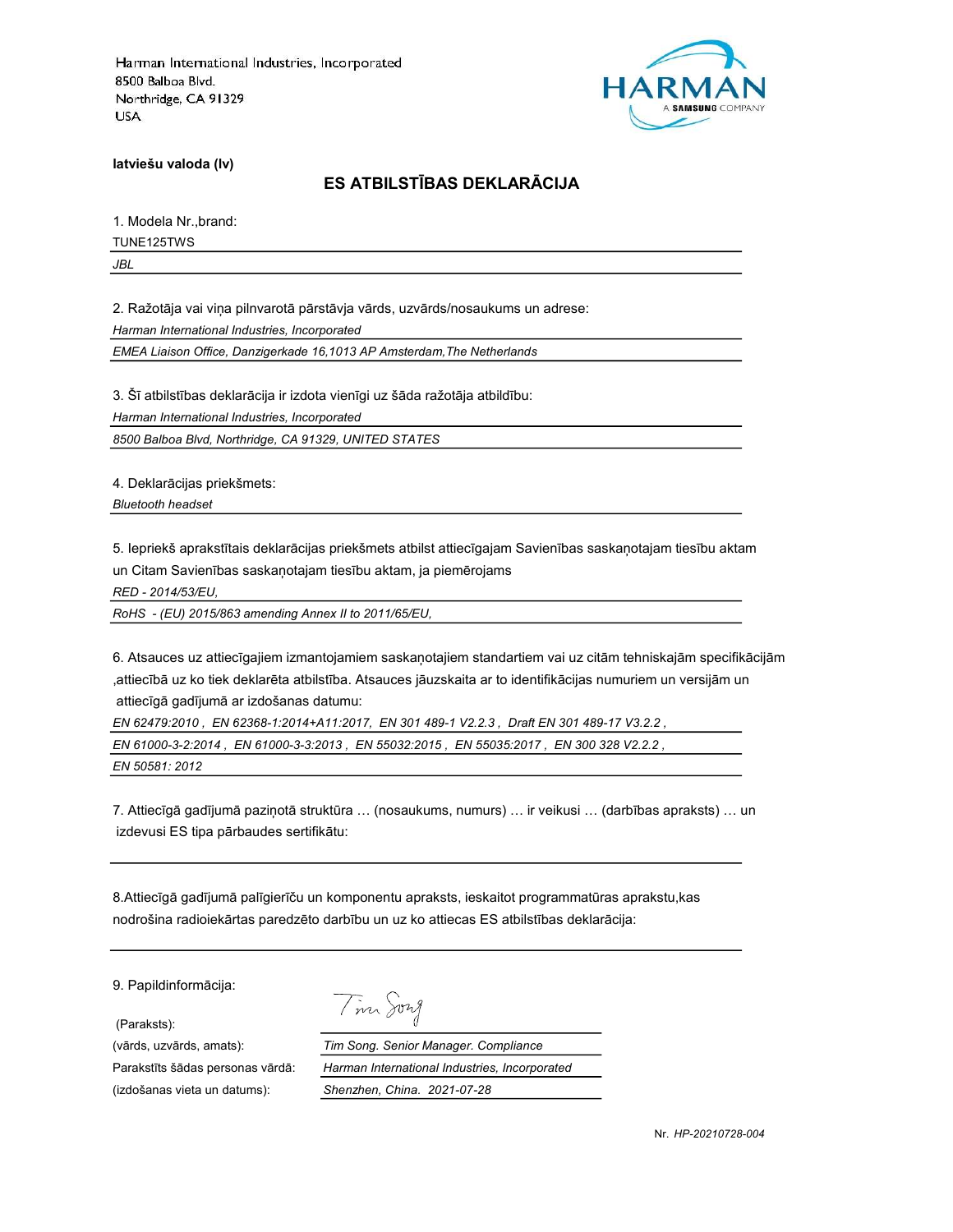

latviešu valoda (lv)

# ES ATBILSTĪBAS DEKLARĀCIJA

1. Modela Nr.,brand:

TUNE125TWS

JBL

2. Ražotāja vai viņa pilnvarotā pārstāvja vārds, uzvārds/nosaukums un adrese:

Harman International Industries, Incorporated

EMEA Liaison Office, Danzigerkade 16,1013 AP Amsterdam,The Netherlands

3. Šī atbilstības deklarācija ir izdota vienīgi uz šāda ražotāja atbildību:

Harman International Industries, Incorporated

8500 Balboa Blvd, Northridge, CA 91329, UNITED STATES

4. Deklarācijas priekšmets:

Bluetooth headset

5. Iepriekš aprakstītais deklarācijas priekšmets atbilst attiecīgajam Savienības saskaņotajam tiesību aktam un Citam Savienības saskaņotajam tiesību aktam, ja piemērojams

RED - 2014/53/EU,

RoHS - (EU) 2015/863 amending Annex II to 2011/65/EU,

6. Atsauces uz attiecīgajiem izmantojamiem saskaņotajiem standartiem vai uz citām tehniskajām specifikācijām ,attiecībā uz ko tiek deklarēta atbilstība. Atsauces jāuzskaita ar to identifikācijas numuriem un versijām un attiecīgā gadījumā ar izdošanas datumu:

EN 62479:2010 , EN 62368-1:2014+A11:2017, EN 301 489-1 V2.2.3 , Draft EN 301 489-17 V3.2.2 , EN 61000-3-2:2014 , EN 61000-3-3:2013 , EN 55032:2015 , EN 55035:2017 , EN 300 328 V2.2.2 ,

EN 50581: 2012

7. Attiecīgā gadījumā paziņotā struktūra … (nosaukums, numurs) … ir veikusi … (darbības apraksts) … un izdevusi ES tipa pārbaudes sertifikātu:

8.Attiecīgā gadījumā palīgierīču un komponentu apraksts, ieskaitot programmatūras aprakstu,kas nodrošina radioiekārtas paredzēto darbību un uz ko attiecas ES atbilstības deklarācija:

9. Papildinformācija:

(Paraksts):

(izdošanas vieta un datums): Shenzhen, China. 2021-07-28

Tim Song

(vārds, uzvārds, amats): Tim Song. Senior Manager. Compliance Parakstīts šādas personas vārdā: Harman International Industries, Incorporated

Nr. HP-20210728-004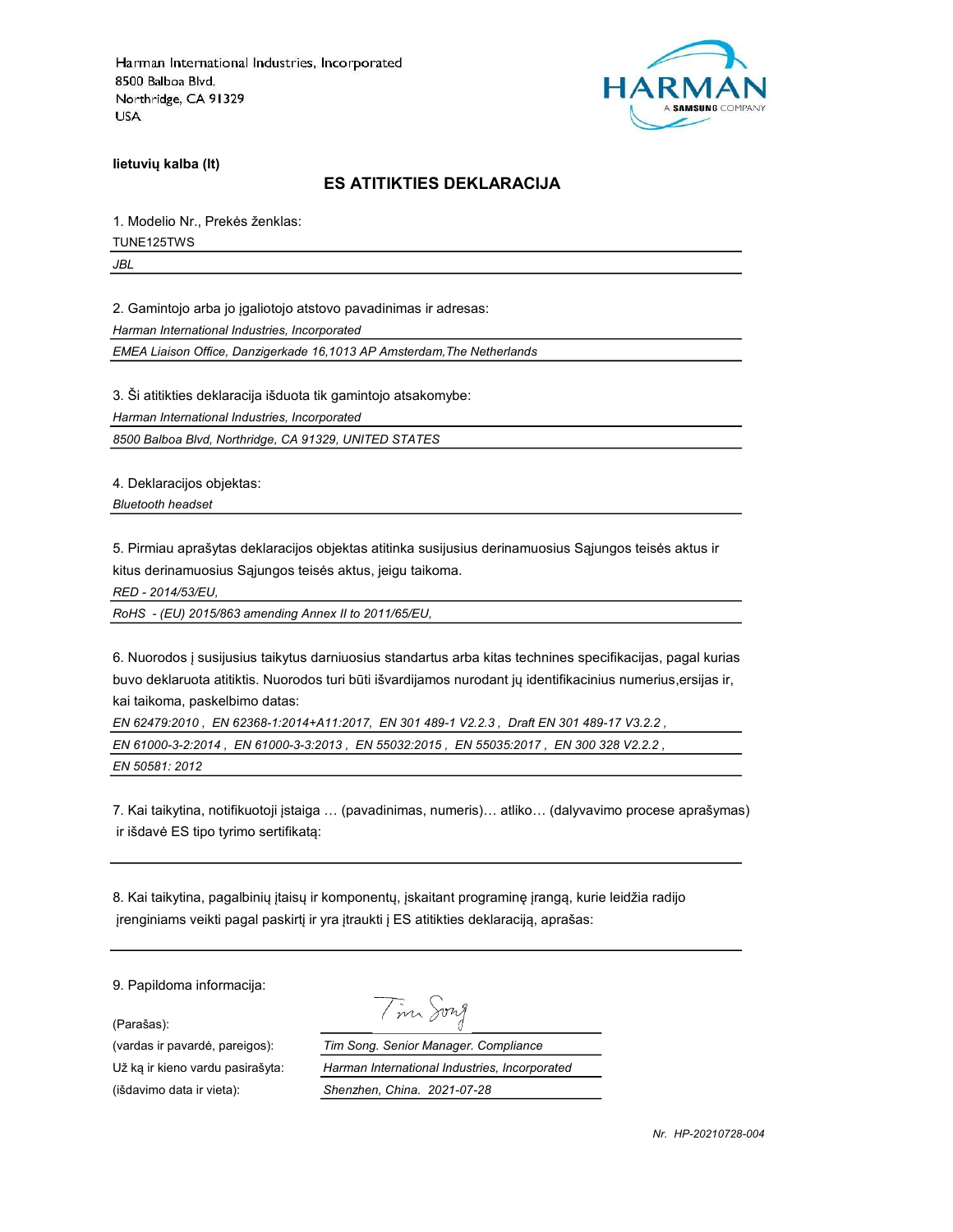

lietuvių kalba (lt)

#### ES ATITIKTIES DEKLARACIJA

1. Modelio Nr., Prekės ženklas: TUNE125TWS

JBL

2. Gamintojo arba jo įgaliotojo atstovo pavadinimas ir adresas:

Harman International Industries, Incorporated

EMEA Liaison Office, Danzigerkade 16,1013 AP Amsterdam,The Netherlands

3. Ši atitikties deklaracija išduota tik gamintojo atsakomybe:

Harman International Industries, Incorporated

8500 Balboa Blvd, Northridge, CA 91329, UNITED STATES

4. Deklaracijos objektas:

Bluetooth headset

5. Pirmiau aprašytas deklaracijos objektas atitinka susijusius derinamuosius Sąjungos teisės aktus ir kitus derinamuosius Sąjungos teisės aktus, jeigu taikoma.

RED - 2014/53/EU,

RoHS - (EU) 2015/863 amending Annex II to 2011/65/EU,

6. Nuorodos į susijusius taikytus darniuosius standartus arba kitas technines specifikacijas, pagal kurias buvo deklaruota atitiktis. Nuorodos turi būti išvardijamos nurodant jų identifikacinius numerius,ersijas ir, kai taikoma, paskelbimo datas:

EN 62479:2010 , EN 62368-1:2014+A11:2017, EN 301 489-1 V2.2.3 , Draft EN 301 489-17 V3.2.2 , EN 61000-3-2:2014 , EN 61000-3-3:2013 , EN 55032:2015 , EN 55035:2017 , EN 300 328 V2.2.2 ,

EN 50581: 2012

7. Kai taikytina, notifikuotoji įstaiga … (pavadinimas, numeris)… atliko… (dalyvavimo procese aprašymas) ir išdavė ES tipo tyrimo sertifikatą:

8. Kai taikytina, pagalbinių įtaisų ir komponentų, įskaitant programinę įrangą, kurie leidžia radijo įrenginiams veikti pagal paskirtį ir yra įtraukti į ES atitikties deklaraciją, aprašas:

9. Papildoma informacija:

(Parašas):

(išdavimo data ir vieta): Shenzhen, China. 2021-07-28

Tim Song

(vardas ir pavardė, pareigos): Tim Song. Senior Manager. Compliance Už ką ir kieno vardu pasirašyta: Harman International Industries, Incorporated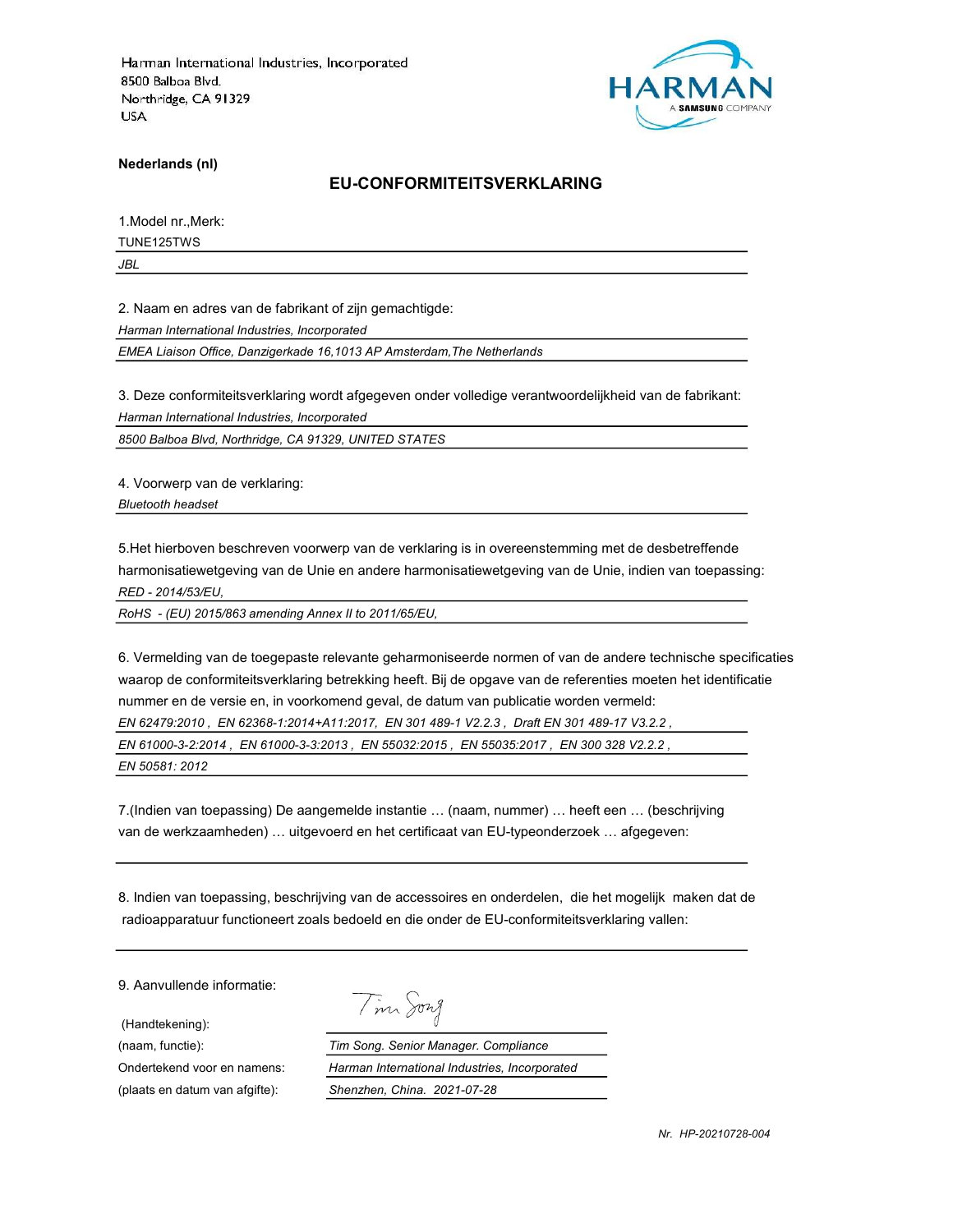

Nederlands (nl)

#### EU-CONFORMITEITSVERKLARING

1.Model nr.,Merk:

TUNE125TWS

JBL

2. Naam en adres van de fabrikant of zijn gemachtigde:

Harman International Industries, Incorporated

EMEA Liaison Office, Danzigerkade 16,1013 AP Amsterdam,The Netherlands

3. Deze conformiteitsverklaring wordt afgegeven onder volledige verantwoordelijkheid van de fabrikant: Harman International Industries, Incorporated

8500 Balboa Blvd, Northridge, CA 91329, UNITED STATES

4. Voorwerp van de verklaring: Bluetooth headset

5.Het hierboven beschreven voorwerp van de verklaring is in overeenstemming met de desbetreffende harmonisatiewetgeving van de Unie en andere harmonisatiewetgeving van de Unie, indien van toepassing: RED - 2014/53/EU,

RoHS - (EU) 2015/863 amending Annex II to 2011/65/EU,

6. Vermelding van de toegepaste relevante geharmoniseerde normen of van de andere technische specificaties waarop de conformiteitsverklaring betrekking heeft. Bij de opgave van de referenties moeten het identificatie nummer en de versie en, in voorkomend geval, de datum van publicatie worden vermeld:

EN 62479:2010 , EN 62368-1:2014+A11:2017, EN 301 489-1 V2.2.3 , Draft EN 301 489-17 V3.2.2 ,

EN 61000-3-2:2014 , EN 61000-3-3:2013 , EN 55032:2015 , EN 55035:2017 , EN 300 328 V2.2.2 ,

EN 50581: 2012

7.(Indien van toepassing) De aangemelde instantie … (naam, nummer) … heeft een … (beschrijving van de werkzaamheden) … uitgevoerd en het certificaat van EU-typeonderzoek … afgegeven:

8. Indien van toepassing, beschrijving van de accessoires en onderdelen, die het mogelijk maken dat de radioapparatuur functioneert zoals bedoeld en die onder de EU-conformiteitsverklaring vallen:

9. Aanvullende informatie:

(Handtekening):

Tim Song

(naam, functie): Tim Song. Senior Manager. Compliance Ondertekend voor en namens: Harman International Industries, Incorporated (plaats en datum van afgifte): Shenzhen, China. 2021-07-28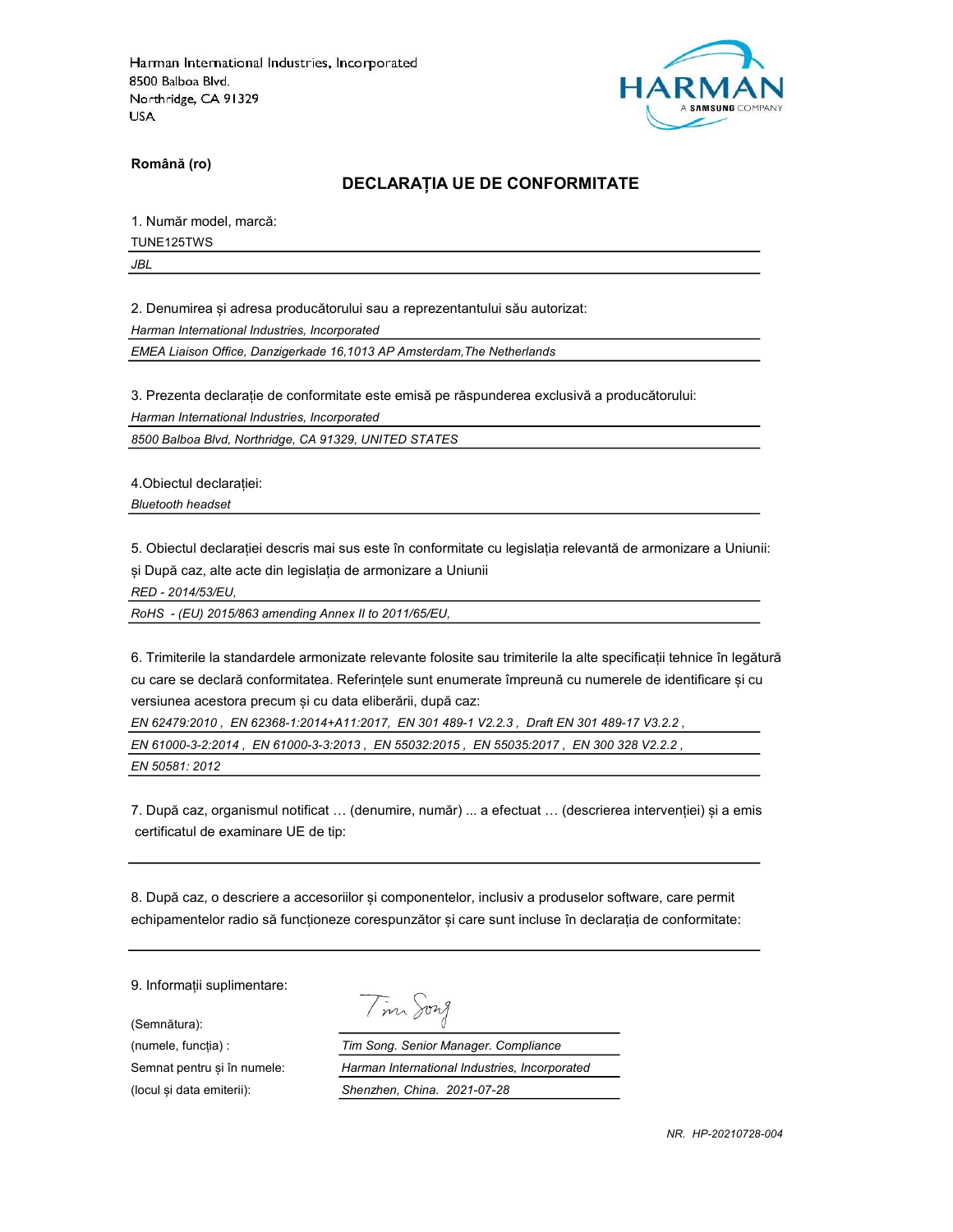

Română (ro)

### DECLARAȚIA UE DE CONFORMITATE

1. Număr model, marcă:

TUNE125TWS

JBL

2. Denumirea și adresa producătorului sau a reprezentantului său autorizat:

Harman International Industries, Incorporated

EMEA Liaison Office, Danzigerkade 16,1013 AP Amsterdam,The Netherlands

3. Prezenta declarație de conformitate este emisă pe răspunderea exclusivă a producătorului:

Harman International Industries, Incorporated

8500 Balboa Blvd, Northridge, CA 91329, UNITED STATES

4.Obiectul declarației:

Bluetooth headset

5. Obiectul declarației descris mai sus este în conformitate cu legislația relevantă de armonizare a Uniunii: și După caz, alte acte din legislația de armonizare a Uniunii

RED - 2014/53/EU,

RoHS - (EU) 2015/863 amending Annex II to 2011/65/EU,

6. Trimiterile la standardele armonizate relevante folosite sau trimiterile la alte specificații tehnice în legătură cu care se declară conformitatea. Referințele sunt enumerate împreună cu numerele de identificare și cu versiunea acestora precum și cu data eliberării, după caz:

EN 62479:2010 , EN 62368-1:2014+A11:2017, EN 301 489-1 V2.2.3 , Draft EN 301 489-17 V3.2.2 , EN 61000-3-2:2014 , EN 61000-3-3:2013 , EN 55032:2015 , EN 55035:2017 , EN 300 328 V2.2.2 ,

EN 50581: 2012

7. După caz, organismul notificat … (denumire, număr) ... a efectuat … (descrierea intervenției) și a emis certificatul de examinare UE de tip:

8. După caz, o descriere a accesoriilor și componentelor, inclusiv a produselor software, care permit echipamentelor radio să funcționeze corespunzător și care sunt incluse în declarația de conformitate:

9. Informații suplimentare:

(Semnătura):

Tim Song

(numele, funcția) : Tim Song. Senior Manager. Compliance Semnat pentru și în numele: Harman International Industries, Incorporated (locul și data emiterii): Shenzhen, China. 2021-07-28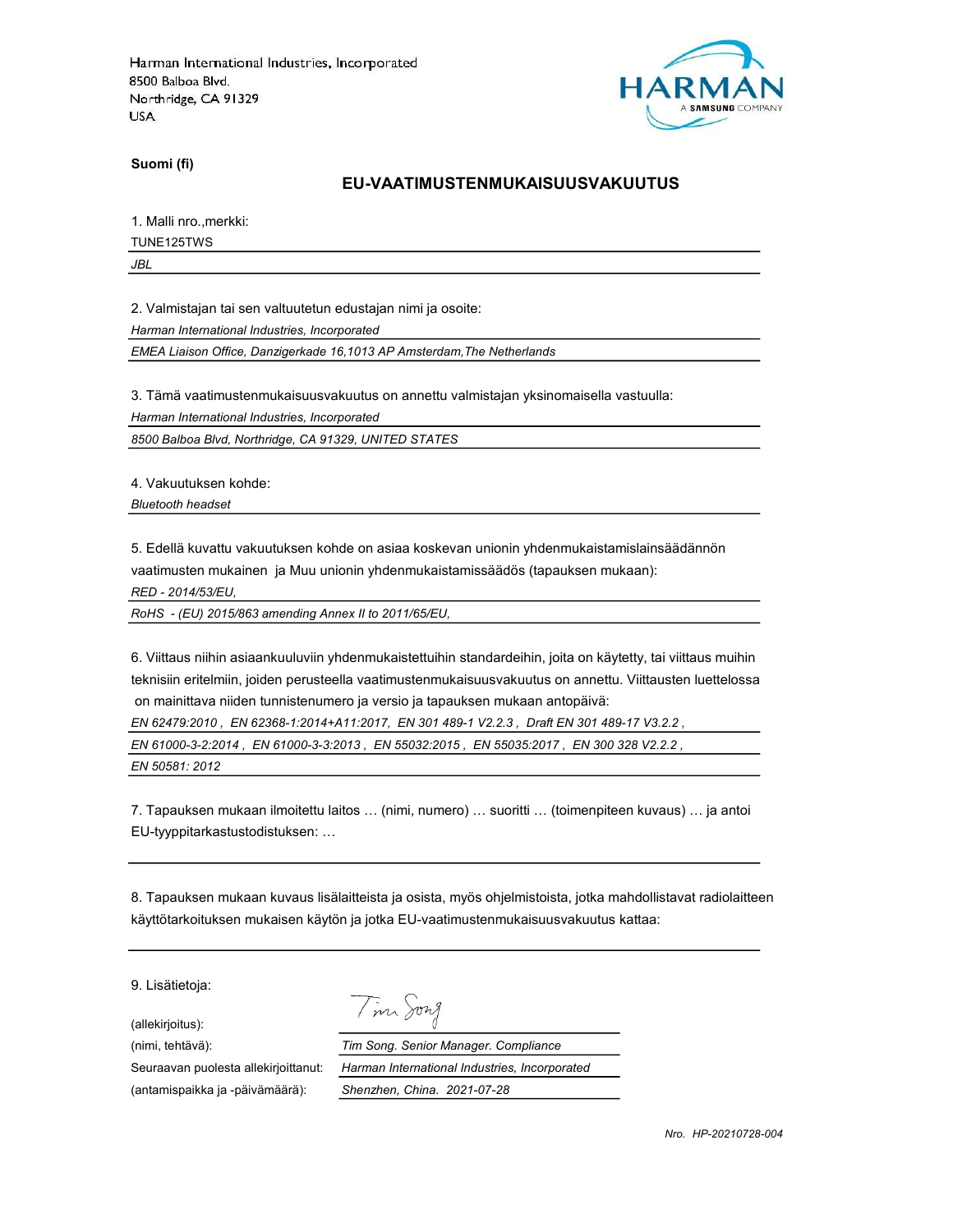

Suomi (fi)

#### EU-VAATIMUSTENMUKAISUUSVAKUUTUS

1. Malli nro.,merkki:

TUNE125TWS

JBL

2. Valmistajan tai sen valtuutetun edustajan nimi ja osoite:

Harman International Industries, Incorporated

EMEA Liaison Office, Danzigerkade 16,1013 AP Amsterdam,The Netherlands

3. Tämä vaatimustenmukaisuusvakuutus on annettu valmistajan yksinomaisella vastuulla:

Harman International Industries, Incorporated

8500 Balboa Blvd, Northridge, CA 91329, UNITED STATES

4. Vakuutuksen kohde:

Bluetooth headset

5. Edellä kuvattu vakuutuksen kohde on asiaa koskevan unionin yhdenmukaistamislainsäädännön vaatimusten mukainen ja Muu unionin yhdenmukaistamissäädös (tapauksen mukaan):

RED - 2014/53/EU,

RoHS - (EU) 2015/863 amending Annex II to 2011/65/EU,

6. Viittaus niihin asiaankuuluviin yhdenmukaistettuihin standardeihin, joita on käytetty, tai viittaus muihin teknisiin eritelmiin, joiden perusteella vaatimustenmukaisuusvakuutus on annettu. Viittausten luettelossa on mainittava niiden tunnistenumero ja versio ja tapauksen mukaan antopäivä:

EN 62479:2010 , EN 62368-1:2014+A11:2017, EN 301 489-1 V2.2.3 , Draft EN 301 489-17 V3.2.2 ,

EN 61000-3-2:2014 , EN 61000-3-3:2013 , EN 55032:2015 , EN 55035:2017 , EN 300 328 V2.2.2 ,

EN 50581: 2012

7. Tapauksen mukaan ilmoitettu laitos … (nimi, numero) … suoritti … (toimenpiteen kuvaus) … ja antoi EU-tyyppitarkastustodistuksen: …

8. Tapauksen mukaan kuvaus lisälaitteista ja osista, myös ohjelmistoista, jotka mahdollistavat radiolaitteen käyttötarkoituksen mukaisen käytön ja jotka EU-vaatimustenmukaisuusvakuutus kattaa:

9. Lisätietoja:

(allekirjoitus):

Tim Song

(nimi, tehtävä): Tim Song. Senior Manager. Compliance Seuraavan puolesta allekirjoittanut: Harman International Industries, Incorporated (antamispaikka ja -päivämäärä): Shenzhen, China. 2021-07-28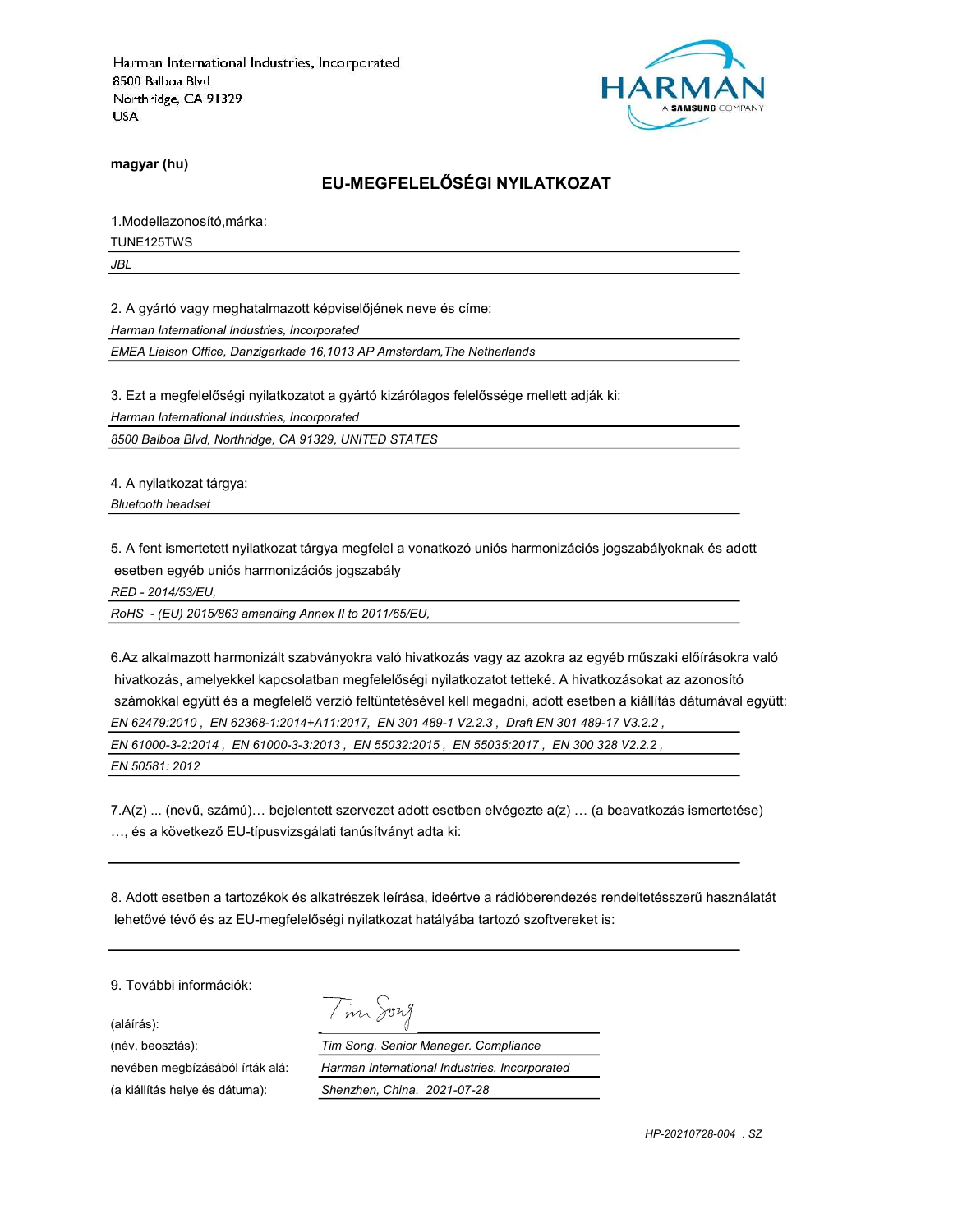

magyar (hu)

# EU-MEGFELELŐSÉGI NYILATKOZAT

1.Modellazonosító,márka:

TUNE125TWS

JBL

2. A gyártó vagy meghatalmazott képviselőjének neve és címe:

Harman International Industries, Incorporated

EMEA Liaison Office, Danzigerkade 16,1013 AP Amsterdam,The Netherlands

3. Ezt a megfelelőségi nyilatkozatot a gyártó kizárólagos felelőssége mellett adják ki:

Harman International Industries, Incorporated

8500 Balboa Blvd, Northridge, CA 91329, UNITED STATES

4. A nyilatkozat tárgya: Bluetooth headset

5. A fent ismertetett nyilatkozat tárgya megfelel a vonatkozó uniós harmonizációs jogszabályoknak és adott esetben egyéb uniós harmonizációs jogszabály

RED - 2014/53/EU,

RoHS - (EU) 2015/863 amending Annex II to 2011/65/EU,

6.Az alkalmazott harmonizált szabványokra való hivatkozás vagy az azokra az egyéb műszaki előírásokra való hivatkozás, amelyekkel kapcsolatban megfelelőségi nyilatkozatot tetteké. A hivatkozásokat az azonosító számokkal együtt és a megfelelő verzió feltüntetésével kell megadni, adott esetben a kiállítás dátumával együtt: EN 62479:2010 , EN 62368-1:2014+A11:2017, EN 301 489-1 V2.2.3 , Draft EN 301 489-17 V3.2.2 , EN 61000-3-2:2014 , EN 61000-3-3:2013 , EN 55032:2015 , EN 55035:2017 , EN 300 328 V2.2.2 , EN 50581: 2012

7.A(z) ... (nevű, számú)… bejelentett szervezet adott esetben elvégezte a(z) … (a beavatkozás ismertetése) …, és a következő EU-típusvizsgálati tanúsítványt adta ki:

8. Adott esetben a tartozékok és alkatrészek leírása, ideértve a rádióberendezés rendeltetésszerű használatát lehetővé tévő és az EU-megfelelőségi nyilatkozat hatályába tartozó szoftvereket is:

9. További információk:

(aláírás):

Tim Song

(név, beosztás): Tim Song. Senior Manager. Compliance nevében megbízásából írták alá: Harman International Industries, Incorporated (a kiállítás helye és dátuma): Shenzhen, China. 2021-07-28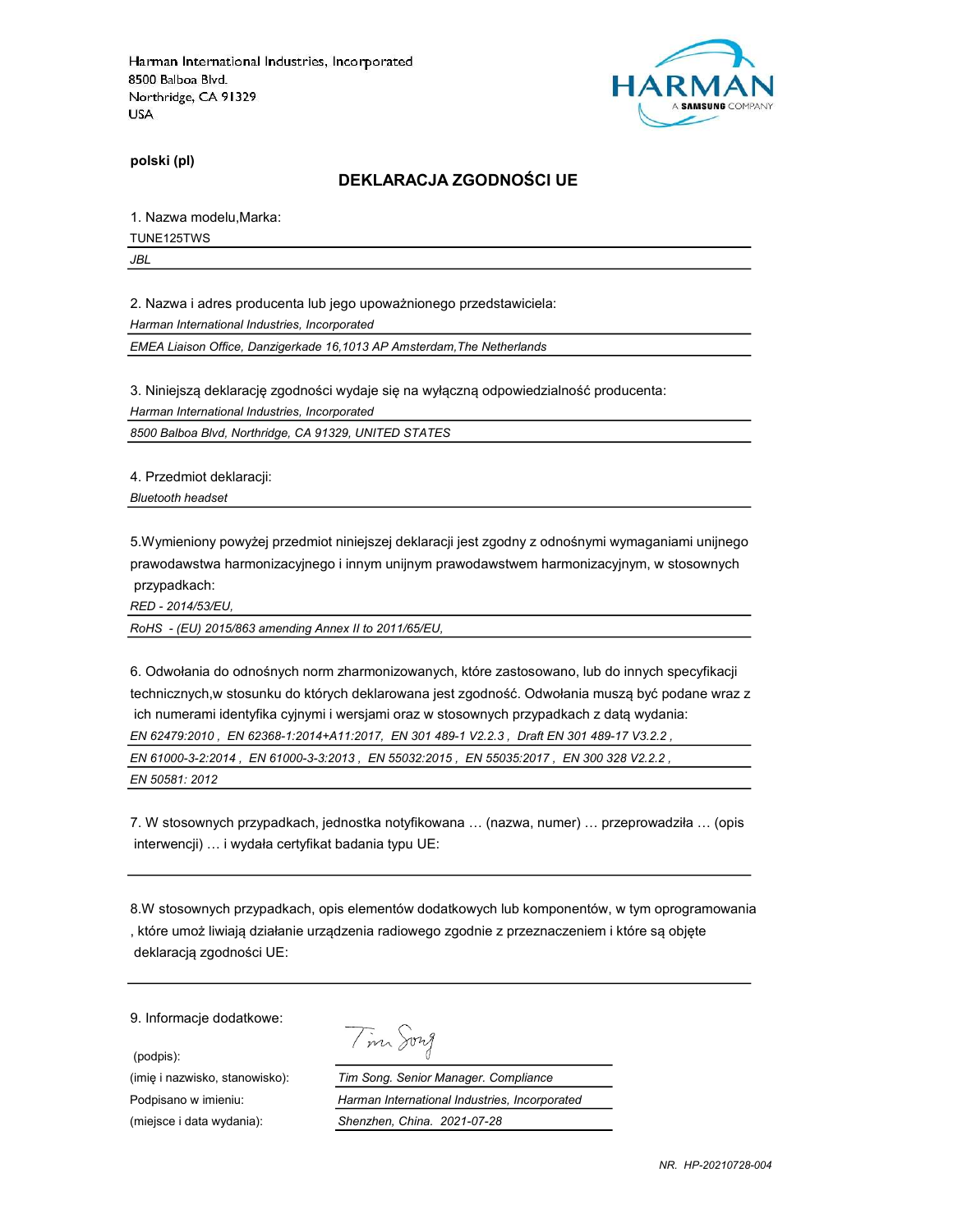

polski (pl)

#### DEKLARACJA ZGODNOŚCI UE

1. Nazwa modelu,Marka:

TUNE125TWS

JBL

2. Nazwa i adres producenta lub jego upoważnionego przedstawiciela:

Harman International Industries, Incorporated

EMEA Liaison Office, Danzigerkade 16,1013 AP Amsterdam,The Netherlands

3. Niniejszą deklarację zgodności wydaje się na wyłączną odpowiedzialność producenta:

Harman International Industries, Incorporated

8500 Balboa Blvd, Northridge, CA 91329, UNITED STATES

4. Przedmiot deklaracji:

Bluetooth headset

5.Wymieniony powyżej przedmiot niniejszej deklaracji jest zgodny z odnośnymi wymaganiami unijnego prawodawstwa harmonizacyjnego i innym unijnym prawodawstwem harmonizacyjnym, w stosownych przypadkach:

RED - 2014/53/EU,

RoHS - (EU) 2015/863 amending Annex II to 2011/65/EU,

6. Odwołania do odnośnych norm zharmonizowanych, które zastosowano, lub do innych specyfikacji technicznych,w stosunku do których deklarowana jest zgodność. Odwołania muszą być podane wraz z ich numerami identyfika cyjnymi i wersjami oraz w stosownych przypadkach z datą wydania: EN 62479:2010 , EN 62368-1:2014+A11:2017, EN 301 489-1 V2.2.3 , Draft EN 301 489-17 V3.2.2 , EN 61000-3-2:2014 , EN 61000-3-3:2013 , EN 55032:2015 , EN 55035:2017 , EN 300 328 V2.2.2 , EN 50581: 2012

7. W stosownych przypadkach, jednostka notyfikowana … (nazwa, numer) … przeprowadziła … (opis interwencji) … i wydała certyfikat badania typu UE:

8.W stosownych przypadkach, opis elementów dodatkowych lub komponentów, w tym oprogramowania , które umoż liwiają działanie urządzenia radiowego zgodnie z przeznaczeniem i które są objęte deklaracją zgodności UE:

9. Informacje dodatkowe:

(podpis):

| <b>72</b> 1<br>$22 -$ |
|-----------------------|
|-----------------------|

(imię i nazwisko, stanowisko): Tim Song. Senior Manager. Compliance Podpisano w imieniu: Harman International Industries, Incorporated (miejsce i data wydania): Shenzhen, China. 2021-07-28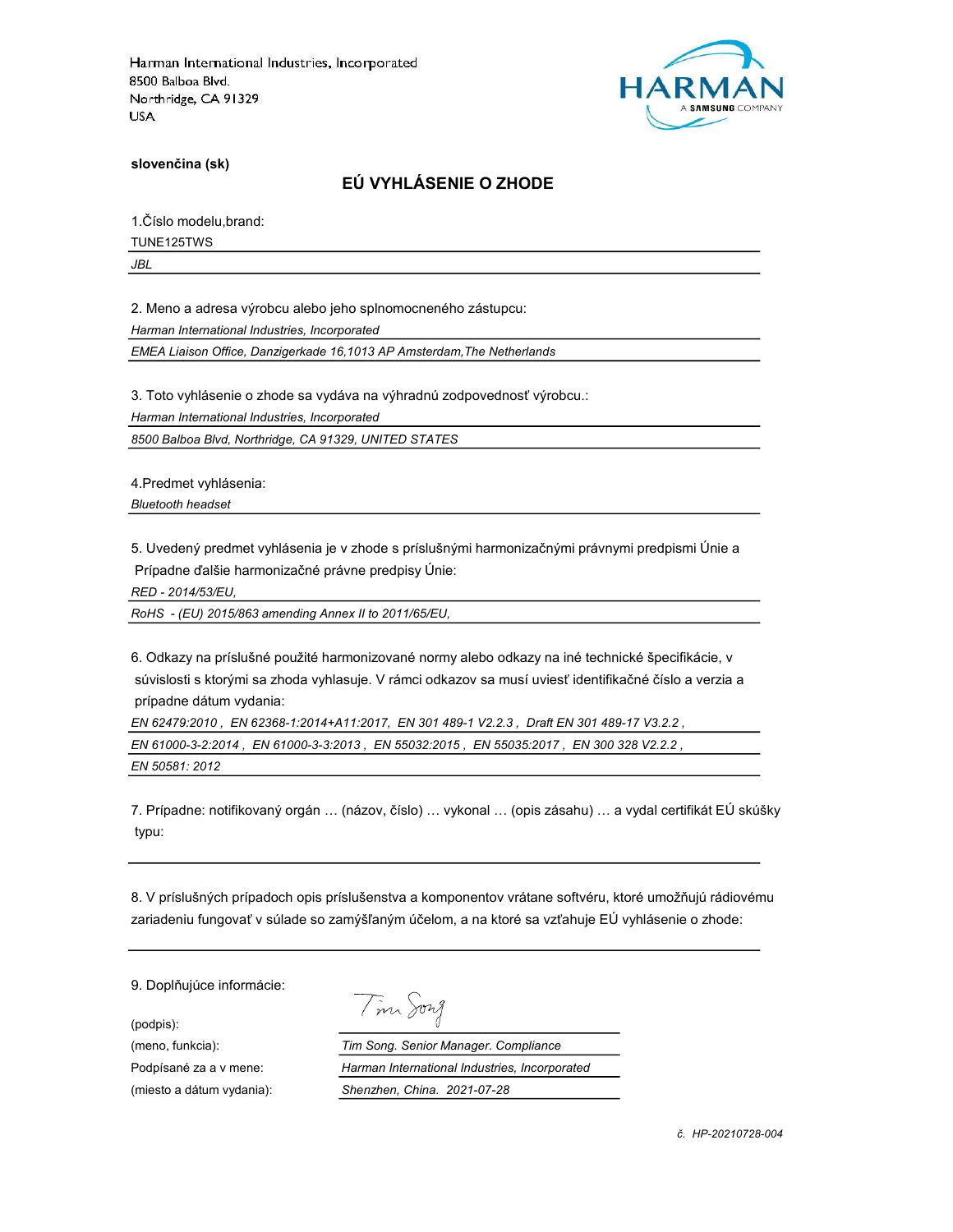

slovenčina (sk)

# EÚ VYHLÁSENIE O ZHODE

1.Číslo modelu,brand:

TUNE125TWS

JBL

2. Meno a adresa výrobcu alebo jeho splnomocneného zástupcu:

Harman International Industries, Incorporated

EMEA Liaison Office, Danzigerkade 16,1013 AP Amsterdam,The Netherlands

3. Toto vyhlásenie o zhode sa vydáva na výhradnú zodpovednosť výrobcu.:

Harman International Industries, Incorporated

8500 Balboa Blvd, Northridge, CA 91329, UNITED STATES

4.Predmet vyhlásenia:

Bluetooth headset

5. Uvedený predmet vyhlásenia je v zhode s príslušnými harmonizačnými právnymi predpismi Únie a Prípadne ďalšie harmonizačné právne predpisy Únie:

RED - 2014/53/EU,

RoHS - (EU) 2015/863 amending Annex II to 2011/65/EU,

6. Odkazy na príslušné použité harmonizované normy alebo odkazy na iné technické špecifikácie, v súvislosti s ktorými sa zhoda vyhlasuje. V rámci odkazov sa musí uviesť identifikačné číslo a verzia a prípadne dátum vydania:

EN 62479:2010 , EN 62368-1:2014+A11:2017, EN 301 489-1 V2.2.3 , Draft EN 301 489-17 V3.2.2 , EN 61000-3-2:2014 , EN 61000-3-3:2013 , EN 55032:2015 , EN 55035:2017 , EN 300 328 V2.2.2 , EN 50581: 2012

7. Prípadne: notifikovaný orgán … (názov, číslo) … vykonal … (opis zásahu) … a vydal certifikát EÚ skúšky typu:

8. V príslušných prípadoch opis príslušenstva a komponentov vrátane softvéru, ktoré umožňujú rádiovému zariadeniu fungovať v súlade so zamýšľaným účelom, a na ktoré sa vzťahuje EÚ vyhlásenie o zhode:

9. Doplňujúce informácie:

(podpis):

Tim Song

(meno, funkcia): Tim Song. Senior Manager. Compliance Podpísané za a v mene: Harman International Industries, Incorporated (miesto a dátum vydania): Shenzhen, China. 2021-07-28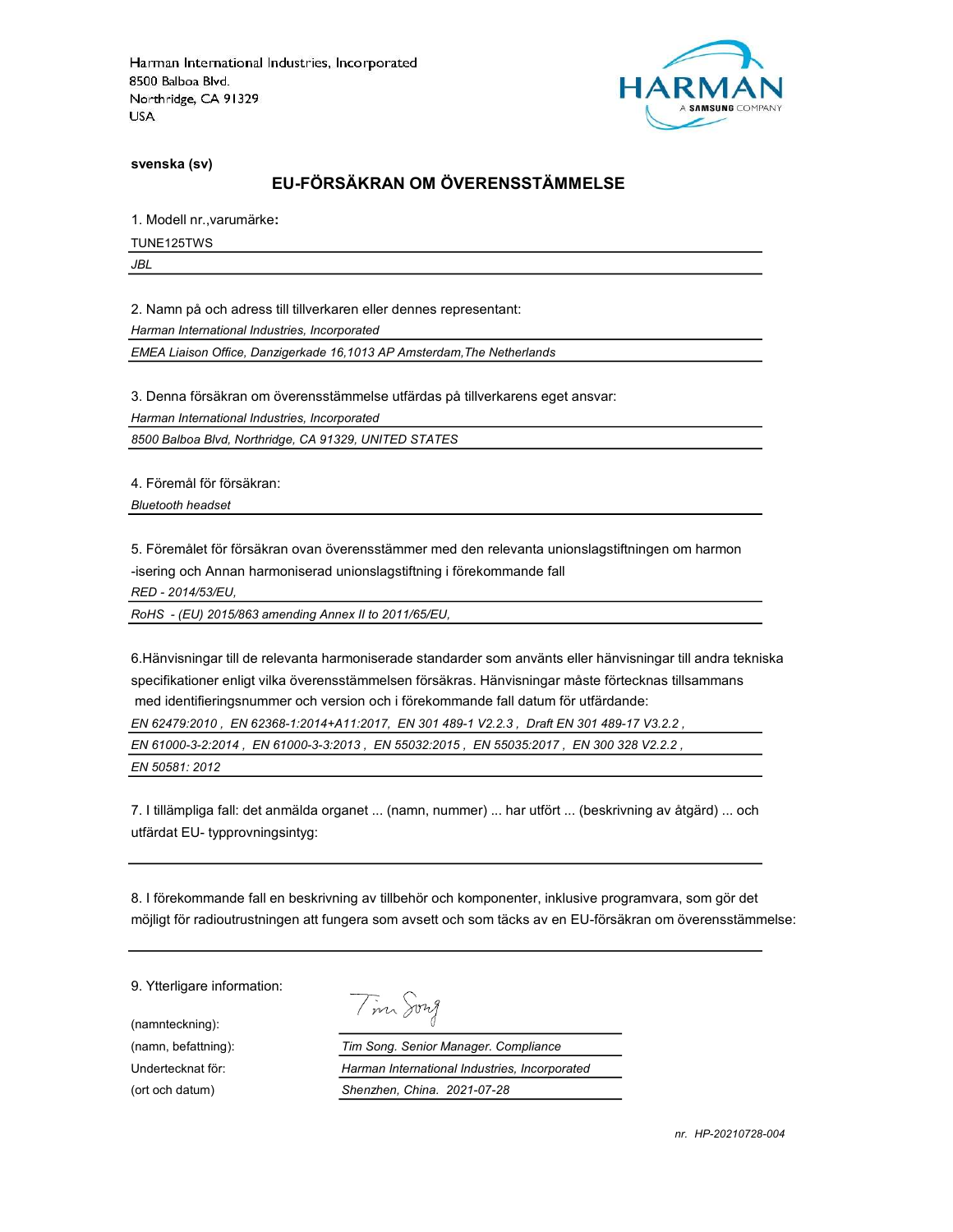

svenska (sv)

# EU-FÖRSÄKRAN OM ÖVERENSSTÄMMELSE

1. Modell nr.,varumärke:

TUNE125TWS

JBL

2. Namn på och adress till tillverkaren eller dennes representant:

Harman International Industries, Incorporated

EMEA Liaison Office, Danzigerkade 16,1013 AP Amsterdam,The Netherlands

3. Denna försäkran om överensstämmelse utfärdas på tillverkarens eget ansvar:

Harman International Industries, Incorporated

8500 Balboa Blvd, Northridge, CA 91329, UNITED STATES

4. Föremål för försäkran:

Bluetooth headset

5. Föremålet för försäkran ovan överensstämmer med den relevanta unionslagstiftningen om harmon

-isering och Annan harmoniserad unionslagstiftning i förekommande fall

RED - 2014/53/EU,

RoHS - (EU) 2015/863 amending Annex II to 2011/65/EU,

6.Hänvisningar till de relevanta harmoniserade standarder som använts eller hänvisningar till andra tekniska specifikationer enligt vilka överensstämmelsen försäkras. Hänvisningar måste förtecknas tillsammans med identifieringsnummer och version och i förekommande fall datum för utfärdande:

EN 62479:2010 , EN 62368-1:2014+A11:2017, EN 301 489-1 V2.2.3 , Draft EN 301 489-17 V3.2.2 ,

EN 61000-3-2:2014 , EN 61000-3-3:2013 , EN 55032:2015 , EN 55035:2017 , EN 300 328 V2.2.2 ,

EN 50581: 2012

7. I tillämpliga fall: det anmälda organet ... (namn, nummer) ... har utfört ... (beskrivning av åtgärd) ... och utfärdat EU- typprovningsintyg:

8. I förekommande fall en beskrivning av tillbehör och komponenter, inklusive programvara, som gör det möjligt för radioutrustningen att fungera som avsett och som täcks av en EU-försäkran om överensstämmelse:

9. Ytterligare information:

(namnteckning):

Tim Song

(namn, befattning): Tim Song. Senior Manager. Compliance Undertecknat för: Harman International Industries, Incorporated (ort och datum) Shenzhen, China. 2021-07-28

nr. HP-20210728-004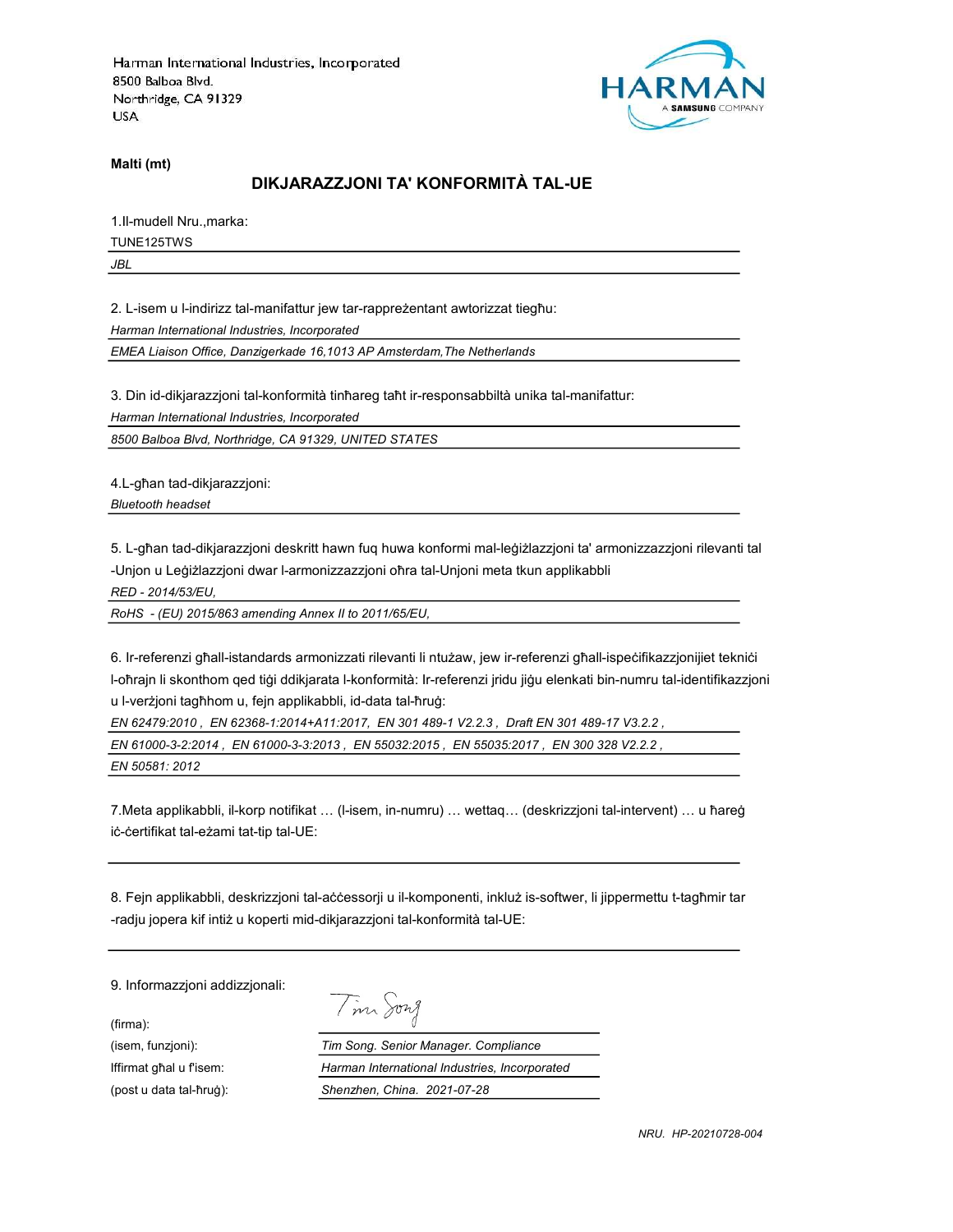

Malti (mt)

# DIKJARAZZJONI TA' KONFORMITÀ TAL-UE

1.Il-mudell Nru.,marka:

TUNE125TWS

JBL

2. L-isem u l-indirizz tal-manifattur jew tar-rappreżentant awtorizzat tiegħu:

Harman International Industries, Incorporated

EMEA Liaison Office, Danzigerkade 16,1013 AP Amsterdam,The Netherlands

3. Din id-dikjarazzjoni tal-konformità tinħareg taħt ir-responsabbiltà unika tal-manifattur:

Harman International Industries, Incorporated

8500 Balboa Blvd, Northridge, CA 91329, UNITED STATES

4.L-għan tad-dikjarazzjoni:

Bluetooth headset

5. L-għan tad-dikjarazzjoni deskritt hawn fuq huwa konformi mal-leġiżlazzjoni ta' armonizzazzjoni rilevanti tal -Unjon u Leġiżlazzjoni dwar l-armonizzazzjoni oħra tal-Unjoni meta tkun applikabbli

RED - 2014/53/EU,

RoHS - (EU) 2015/863 amending Annex II to 2011/65/EU,

6. Ir-referenzi għall-istandards armonizzati rilevanti li ntużaw, jew ir-referenzi għall-ispeċifikazzjonijiet tekniċi l-oħrajn li skonthom qed tiġi ddikjarata l-konformità: Ir-referenzi jridu jiġu elenkati bin-numru tal-identifikazzjoni u l-verżjoni tagħhom u, fejn applikabbli, id-data tal-ħruġ:

EN 62479:2010 , EN 62368-1:2014+A11:2017, EN 301 489-1 V2.2.3 , Draft EN 301 489-17 V3.2.2 ,

EN 61000-3-2:2014 , EN 61000-3-3:2013 , EN 55032:2015 , EN 55035:2017 , EN 300 328 V2.2.2 ,

EN 50581: 2012

7.Meta applikabbli, il-korp notifikat … (l-isem, in-numru) … wettaq… (deskrizzjoni tal-intervent) … u ħareġ iċ-ċertifikat tal-eżami tat-tip tal-UE:

8. Fejn applikabbli, deskrizzjoni tal-aċċessorji u il-komponenti, inkluż is-softwer, li jippermettu t-tagħmir tar -radju jopera kif intiż u koperti mid-dikjarazzjoni tal-konformità tal-UE:

9. Informazzjoni addizzjonali:

(firma):

Tim Song

(isem, funzjoni): Tim Song. Senior Manager. Compliance Iffirmat għal u f'isem: Harman International Industries, Incorporated (post u data tal-ħruġ): Shenzhen, China. 2021-07-28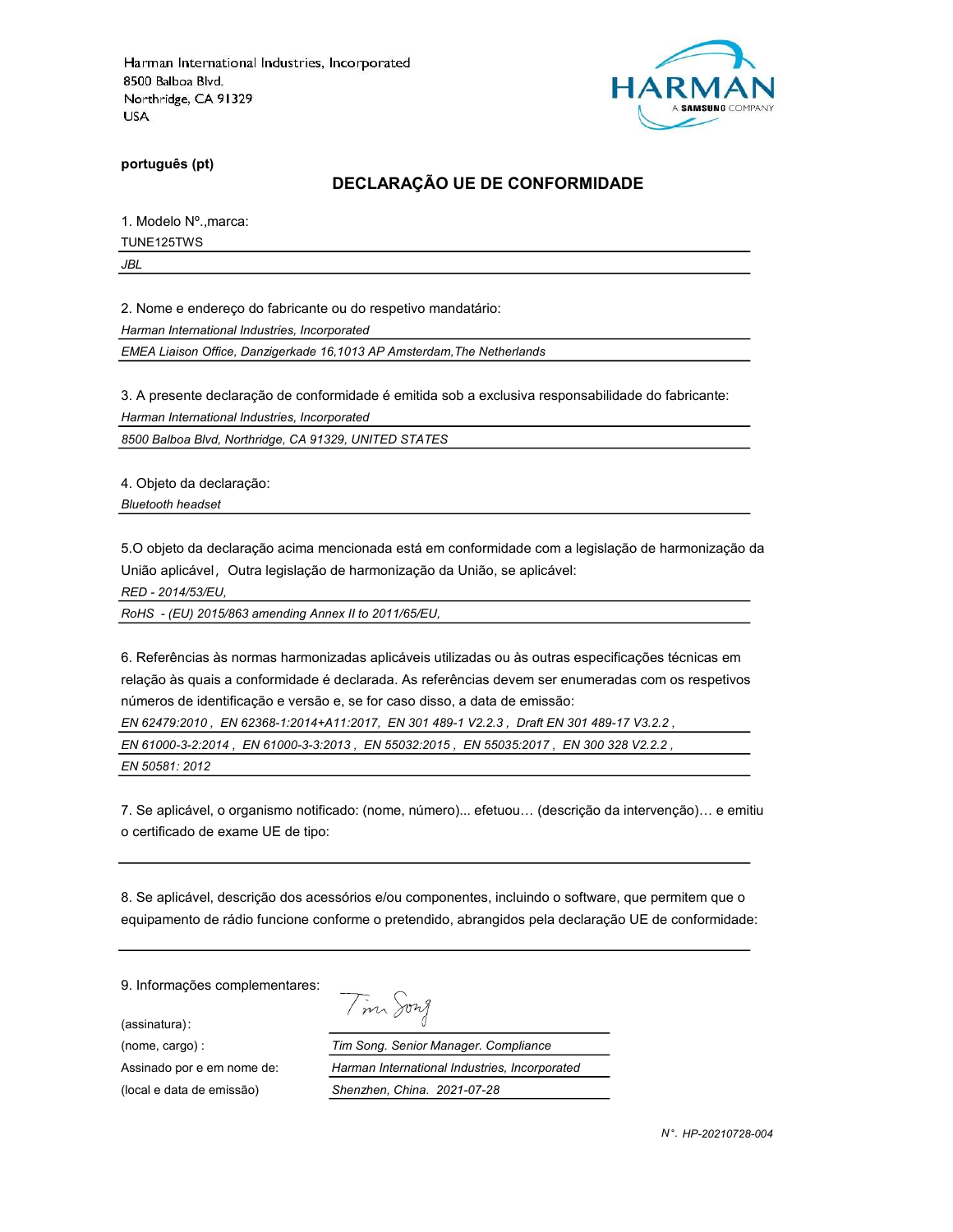

português (pt)

### DECLARAÇÃO UE DE CONFORMIDADE

1. Modelo Nº.,marca:

TUNE125TWS

JBL

2. Nome e endereço do fabricante ou do respetivo mandatário:

Harman International Industries, Incorporated

EMEA Liaison Office, Danzigerkade 16,1013 AP Amsterdam,The Netherlands

3. A presente declaração de conformidade é emitida sob a exclusiva responsabilidade do fabricante:

Harman International Industries, Incorporated

8500 Balboa Blvd, Northridge, CA 91329, UNITED STATES

4. Objeto da declaração:

Bluetooth headset

5.O objeto da declaração acima mencionada está em conformidade com a legislação de harmonização da União aplicável, Outra legislação de harmonização da União, se aplicável:

RED - 2014/53/EU,

RoHS - (EU) 2015/863 amending Annex II to 2011/65/EU,

6. Referências às normas harmonizadas aplicáveis utilizadas ou às outras especificações técnicas em relação às quais a conformidade é declarada. As referências devem ser enumeradas com os respetivos números de identificação e versão e, se for caso disso, a data de emissão:

EN 62479:2010 , EN 62368-1:2014+A11:2017, EN 301 489-1 V2.2.3 , Draft EN 301 489-17 V3.2.2 ,

EN 61000-3-2:2014 , EN 61000-3-3:2013 , EN 55032:2015 , EN 55035:2017 , EN 300 328 V2.2.2 ,

EN 50581: 2012

7. Se aplicável, o organismo notificado: (nome, número)... efetuou… (descrição da intervenção)… e emitiu o certificado de exame UE de tipo:

8. Se aplicável, descrição dos acessórios e/ou componentes, incluindo o software, que permitem que o equipamento de rádio funcione conforme o pretendido, abrangidos pela declaração UE de conformidade:

9. Informações complementares:

(assinatura):

Tim Song (nome, cargo) : Tim Song. Senior Manager. Compliance Assinado por e em nome de: Harman International Industries, Incorporated (local e data de emissão) Shenzhen, China. 2021-07-28